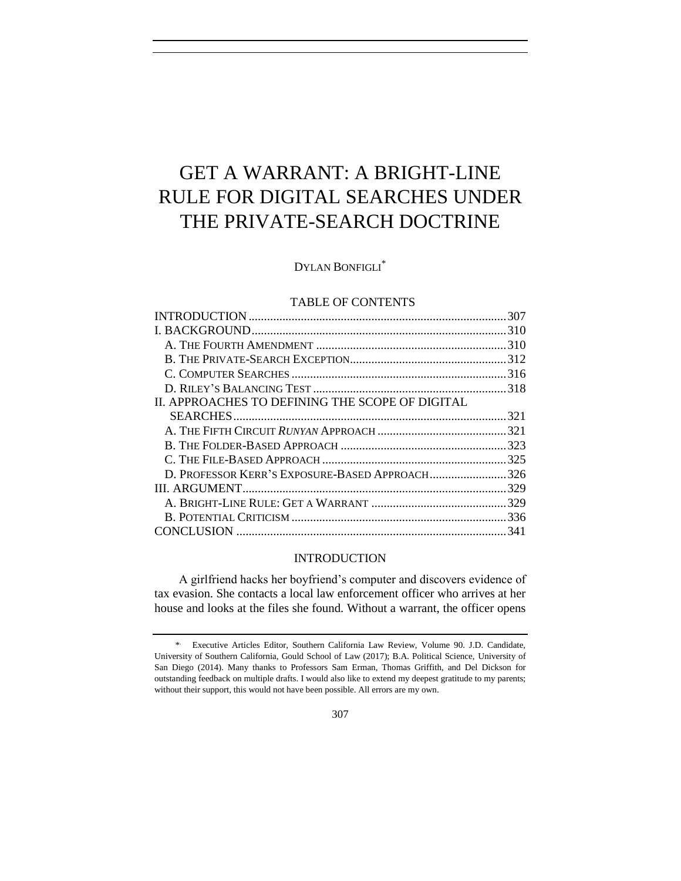# GET A WARRANT: A BRIGHT-LINE RULE FOR DIGITAL SEARCHES UNDER THE PRIVATE-SEARCH DOCTRINE

DYLAN BONFIGLI\*

# TABLE OF CONTENTS

| D. PROFESSOR KERR'S EXPOSURE-BASED APPROACH326 |
|------------------------------------------------|
|                                                |
|                                                |
|                                                |
|                                                |
|                                                |

# INTRODUCTION

A girlfriend hacks her boyfriend's computer and discovers evidence of tax evasion. She contacts a local law enforcement officer who arrives at her house and looks at the files she found. Without a warrant, the officer opens

<sup>\*</sup> . Executive Articles Editor, Southern California Law Review, Volume 90. J.D. Candidate, University of Southern California, Gould School of Law (2017); B.A. Political Science, University of San Diego (2014). Many thanks to Professors Sam Erman, Thomas Griffith, and Del Dickson for outstanding feedback on multiple drafts. I would also like to extend my deepest gratitude to my parents; without their support, this would not have been possible. All errors are my own.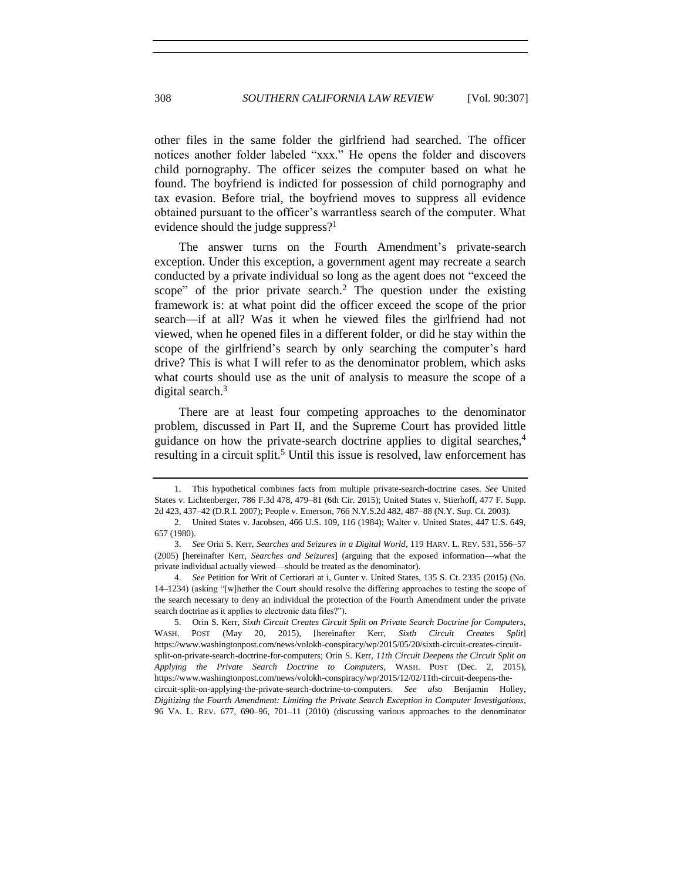other files in the same folder the girlfriend had searched. The officer notices another folder labeled "xxx." He opens the folder and discovers child pornography. The officer seizes the computer based on what he found. The boyfriend is indicted for possession of child pornography and tax evasion. Before trial, the boyfriend moves to suppress all evidence obtained pursuant to the officer's warrantless search of the computer. What evidence should the judge suppress?<sup>1</sup>

The answer turns on the Fourth Amendment's private-search exception. Under this exception, a government agent may recreate a search conducted by a private individual so long as the agent does not "exceed the scope" of the prior private search.<sup>2</sup> The question under the existing framework is: at what point did the officer exceed the scope of the prior search—if at all? Was it when he viewed files the girlfriend had not viewed, when he opened files in a different folder, or did he stay within the scope of the girlfriend's search by only searching the computer's hard drive? This is what I will refer to as the denominator problem, which asks what courts should use as the unit of analysis to measure the scope of a digital search.<sup>3</sup>

<span id="page-1-0"></span>There are at least four competing approaches to the denominator problem, discussed in Part II, and the Supreme Court has provided little guidance on how the private-search doctrine applies to digital searches,<sup>4</sup> resulting in a circuit split.<sup>5</sup> Until this issue is resolved, law enforcement has

<span id="page-1-1"></span><sup>1.</sup> This hypothetical combines facts from multiple private-search-doctrine cases. *See* United States v. Lichtenberger, 786 F.3d 478, 479–81 (6th Cir. 2015); United States v. Stierhoff, 477 F. Supp. 2d 423, 437–42 (D.R.I. 2007); People v. Emerson, 766 N.Y.S.2d 482, 487–88 (N.Y. Sup. Ct. 2003).

<sup>2.</sup> United States v. Jacobsen, 466 U.S. 109, 116 (1984); Walter v. United States, 447 U.S. 649, 657 (1980).

<sup>3.</sup> *See* Orin S. Kerr, *Searches and Seizures in a Digital World*, 119 HARV. L. REV. 531, 556–57 (2005) [hereinafter Kerr, *Searches and Seizures*] (arguing that the exposed information—what the private individual actually viewed—should be treated as the denominator).

<sup>4.</sup> *See* Petition for Writ of Certiorari at i, Gunter v. United States, 135 S. Ct. 2335 (2015) (No. 14–1234) (asking "[w]hether the Court should resolve the differing approaches to testing the scope of the search necessary to deny an individual the protection of the Fourth Amendment under the private search doctrine as it applies to electronic data files?").

<sup>5.</sup> Orin S. Kerr, *Sixth Circuit Creates Circuit Split on Private Search Doctrine for Computers*, WASH. POST (May 20, 2015), [hereinafter Kerr, *Sixth Circuit Creates Split*] https://www.washingtonpost.com/news/volokh-conspiracy/wp/2015/05/20/sixth-circuit-creates-circuitsplit-on-private-search-doctrine-for-computers; Orin S. Kerr, *11th Circuit Deepens the Circuit Split on Applying the Private Search Doctrine to Computers*, WASH. POST (Dec. 2, 2015), https://www.washingtonpost.com/news/volokh-conspiracy/wp/2015/12/02/11th-circuit-deepens-thecircuit-split-on-applying-the-private-search-doctrine-to-computers. *See also* Benjamin Holley, *Digitizing the Fourth Amendment: Limiting the Private Search Exception in Computer Investigations*, 96 VA. L. REV. 677, 690–96, 701–11 (2010) (discussing various approaches to the denominator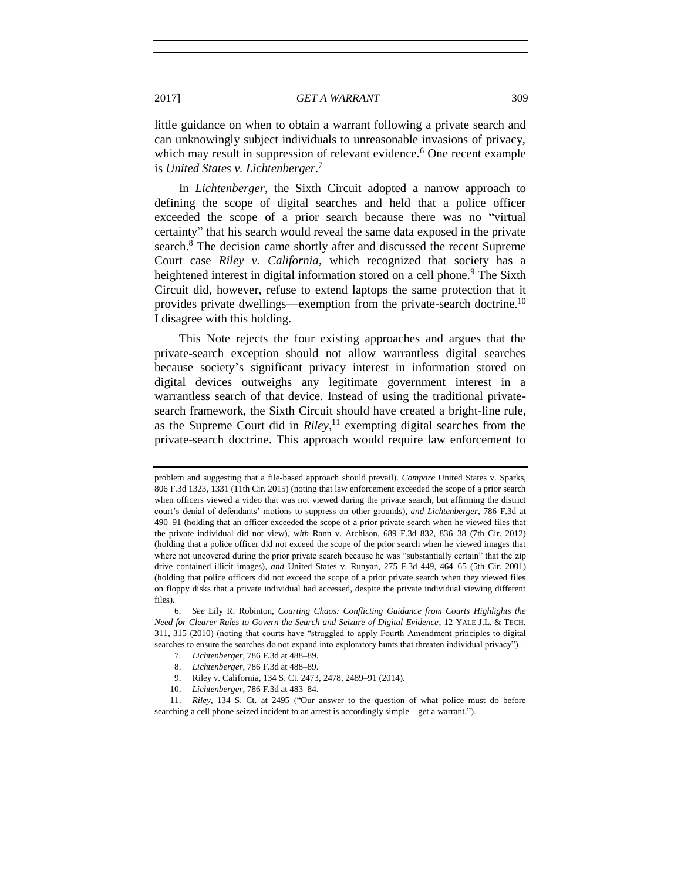<span id="page-2-0"></span>little guidance on when to obtain a warrant following a private search and can unknowingly subject individuals to unreasonable invasions of privacy, which may result in suppression of relevant evidence.<sup>6</sup> One recent example is *United States v. Lichtenberger*. 7

In *Lichtenberger*, the Sixth Circuit adopted a narrow approach to defining the scope of digital searches and held that a police officer exceeded the scope of a prior search because there was no "virtual certainty" that his search would reveal the same data exposed in the private search.<sup>8</sup> The decision came shortly after and discussed the recent Supreme Court case *Riley v. California*, which recognized that society has a heightened interest in digital information stored on a cell phone.<sup>9</sup> The Sixth Circuit did, however, refuse to extend laptops the same protection that it provides private dwellings—exemption from the private-search doctrine.<sup>10</sup> I disagree with this holding.

This Note rejects the four existing approaches and argues that the private-search exception should not allow warrantless digital searches because society's significant privacy interest in information stored on digital devices outweighs any legitimate government interest in a warrantless search of that device. Instead of using the traditional privatesearch framework, the Sixth Circuit should have created a bright-line rule, as the Supreme Court did in *Riley*, <sup>11</sup> exempting digital searches from the private-search doctrine. This approach would require law enforcement to

problem and suggesting that a file-based approach should prevail). *Compare* United States v. Sparks, 806 F.3d 1323, 1331 (11th Cir. 2015) (noting that law enforcement exceeded the scope of a prior search when officers viewed a video that was not viewed during the private search, but affirming the district court's denial of defendants' motions to suppress on other grounds), *and Lichtenberger*, 786 F.3d at 490–91 (holding that an officer exceeded the scope of a prior private search when he viewed files that the private individual did not view), *with* Rann v. Atchison, 689 F.3d 832, 836–38 (7th Cir. 2012) (holding that a police officer did not exceed the scope of the prior search when he viewed images that where not uncovered during the prior private search because he was "substantially certain" that the zip drive contained illicit images), *and* United States v. Runyan, 275 F.3d 449, 464–65 (5th Cir. 2001) (holding that police officers did not exceed the scope of a prior private search when they viewed files on floppy disks that a private individual had accessed, despite the private individual viewing different files).

<sup>6.</sup> *See* Lily R. Robinton, *Courting Chaos: Conflicting Guidance from Courts Highlights the Need for Clearer Rules to Govern the Search and Seizure of Digital Evidence*, 12 YALE J.L. & TECH. 311, 315 (2010) (noting that courts have "struggled to apply Fourth Amendment principles to digital searches to ensure the searches do not expand into exploratory hunts that threaten individual privacy").

<sup>7.</sup> *Lichtenberger*, 786 F.3d at 488–89.

<sup>8.</sup> *Lichtenberger*, 786 F.3d at 488–89.

<sup>9.</sup> Riley v. California, 134 S. Ct. 2473, 2478, 2489–91 (2014).

<sup>10.</sup> *Lichtenberger*, 786 F.3d at 483–84.

<sup>11.</sup> *Riley*, 134 S. Ct. at 2495 ("Our answer to the question of what police must do before searching a cell phone seized incident to an arrest is accordingly simple—get a warrant.").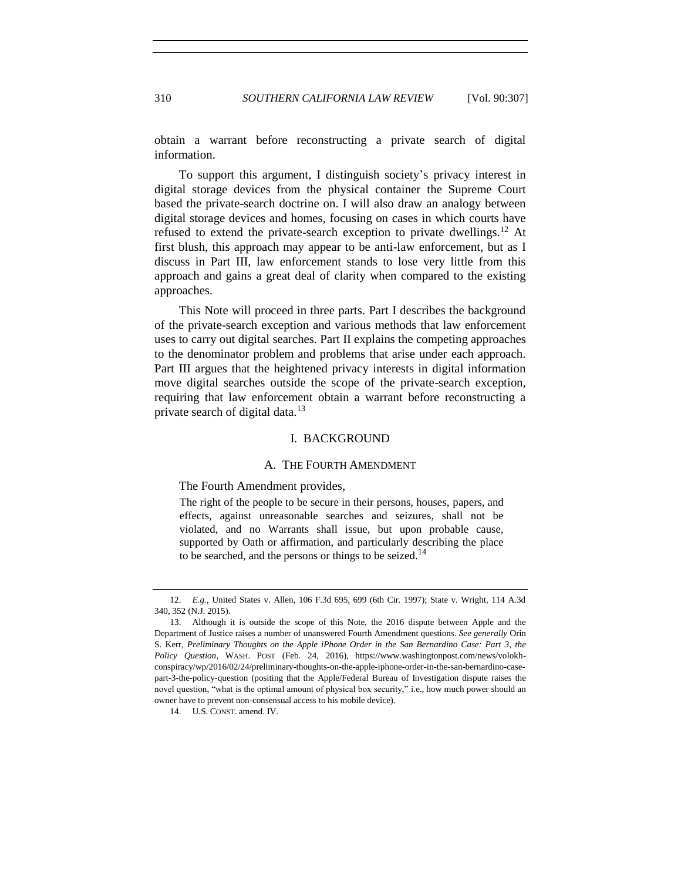obtain a warrant before reconstructing a private search of digital information.

To support this argument, I distinguish society's privacy interest in digital storage devices from the physical container the Supreme Court based the private-search doctrine on. I will also draw an analogy between digital storage devices and homes, focusing on cases in which courts have refused to extend the private-search exception to private dwellings.<sup>12</sup> At first blush, this approach may appear to be anti-law enforcement, but as I discuss in Part III, law enforcement stands to lose very little from this approach and gains a great deal of clarity when compared to the existing approaches.

This Note will proceed in three parts. Part I describes the background of the private-search exception and various methods that law enforcement uses to carry out digital searches. Part II explains the competing approaches to the denominator problem and problems that arise under each approach. Part III argues that the heightened privacy interests in digital information move digital searches outside the scope of the private-search exception, requiring that law enforcement obtain a warrant before reconstructing a private search of digital data.<sup>13</sup>

# I. BACKGROUND

## A. THE FOURTH AMENDMENT

The Fourth Amendment provides,

The right of the people to be secure in their persons, houses, papers, and effects, against unreasonable searches and seizures, shall not be violated, and no Warrants shall issue, but upon probable cause, supported by Oath or affirmation, and particularly describing the place to be searched, and the persons or things to be seized.<sup>14</sup>

<sup>12.</sup> *E.g.*, United States v. Allen, 106 F.3d 695, 699 (6th Cir. 1997); State v. Wright, 114 A.3d 340, 352 (N.J. 2015).

<sup>13.</sup> Although it is outside the scope of this Note, the 2016 dispute between Apple and the Department of Justice raises a number of unanswered Fourth Amendment questions. *See generally* Orin S. Kerr, *Preliminary Thoughts on the Apple iPhone Order in the San Bernardino Case: Part 3*, *the Policy Question*, WASH. POST (Feb. 24, 2016), https://www.washingtonpost.com/news/volokhconspiracy/wp/2016/02/24/preliminary-thoughts-on-the-apple-iphone-order-in-the-san-bernardino-casepart-3-the-policy-question (positing that the Apple/Federal Bureau of Investigation dispute raises the novel question, "what is the optimal amount of physical box security," i.e., how much power should an owner have to prevent non-consensual access to his mobile device).

<sup>14.</sup> U.S. CONST. amend. IV.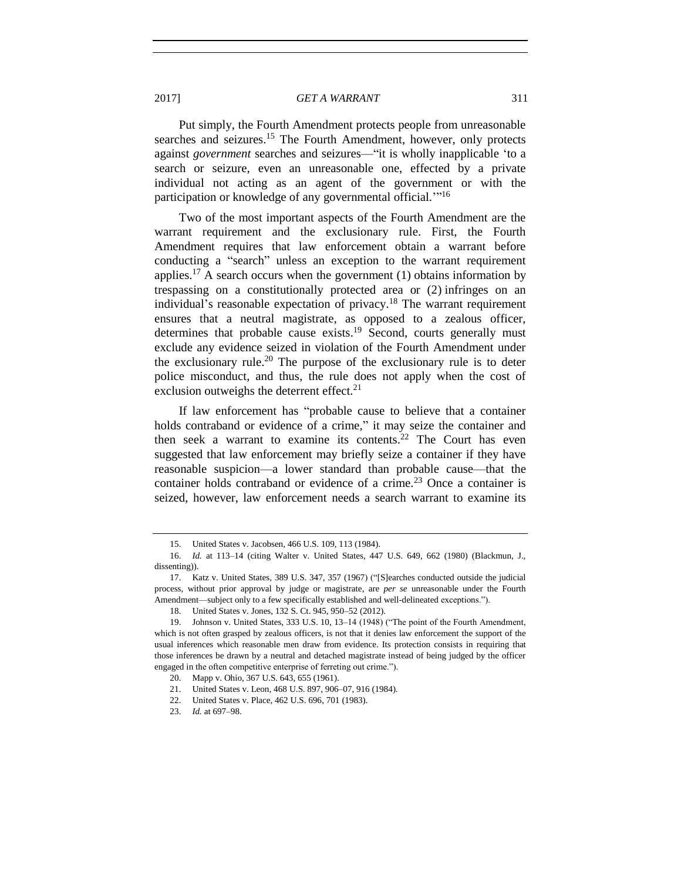Put simply, the Fourth Amendment protects people from unreasonable searches and seizures.<sup>15</sup> The Fourth Amendment, however, only protects against *government* searches and seizures—"it is wholly inapplicable 'to a search or seizure, even an unreasonable one, effected by a private individual not acting as an agent of the government or with the participation or knowledge of any governmental official."<sup>16</sup>

Two of the most important aspects of the Fourth Amendment are the warrant requirement and the exclusionary rule. First, the Fourth Amendment requires that law enforcement obtain a warrant before conducting a "search" unless an exception to the warrant requirement applies.<sup>17</sup> A search occurs when the government (1) obtains information by trespassing on a constitutionally protected area or (2) infringes on an individual's reasonable expectation of privacy.<sup>18</sup> The warrant requirement ensures that a neutral magistrate, as opposed to a zealous officer, determines that probable cause exists.<sup>19</sup> Second, courts generally must exclude any evidence seized in violation of the Fourth Amendment under the exclusionary rule.<sup>20</sup> The purpose of the exclusionary rule is to deter police misconduct, and thus, the rule does not apply when the cost of exclusion outweighs the deterrent effect. $21$ 

If law enforcement has "probable cause to believe that a container holds contraband or evidence of a crime," it may seize the container and then seek a warrant to examine its contents.<sup>22</sup> The Court has even suggested that law enforcement may briefly seize a container if they have reasonable suspicion—a lower standard than probable cause—that the container holds contraband or evidence of a crime.<sup>23</sup> Once a container is seized, however, law enforcement needs a search warrant to examine its

<sup>15.</sup> United States v. Jacobsen, 466 U.S. 109, 113 (1984).

<sup>16.</sup> *Id.* at 113–14 (citing Walter v. United States, 447 U.S. 649, 662 (1980) (Blackmun, J., dissenting)).

<sup>17.</sup> Katz v. United States, 389 U.S. 347, 357 (1967) ("[S]earches conducted outside the judicial process, without prior approval by judge or magistrate, are *per se* unreasonable under the Fourth Amendment—subject only to a few specifically established and well-delineated exceptions.").

<sup>18.</sup> United States v. Jones, 132 S. Ct. 945, 950–52 (2012).

<sup>19.</sup> Johnson v. United States, 333 U.S. 10, 13–14 (1948) ("The point of the Fourth Amendment, which is not often grasped by zealous officers, is not that it denies law enforcement the support of the usual inferences which reasonable men draw from evidence. Its protection consists in requiring that those inferences be drawn by a neutral and detached magistrate instead of being judged by the officer engaged in the often competitive enterprise of ferreting out crime.").

<sup>20.</sup> Mapp v. Ohio, 367 U.S. 643, 655 (1961).

<sup>21.</sup> United States v. Leon, 468 U.S. 897, 906–07, 916 (1984).

<sup>22.</sup> United States v. Place, 462 U.S. 696, 701 (1983).

<sup>23.</sup> *Id.* at 697–98.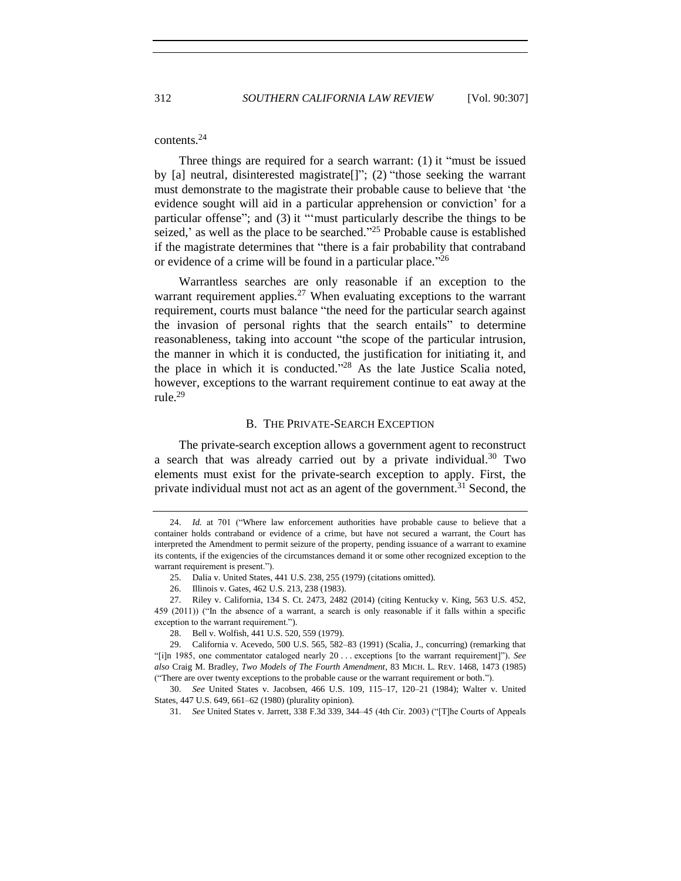## contents.<sup>24</sup>

Three things are required for a search warrant: (1) it "must be issued by [a] neutral, disinterested magistrate[]"; (2) "those seeking the warrant must demonstrate to the magistrate their probable cause to believe that 'the evidence sought will aid in a particular apprehension or conviction' for a particular offense"; and (3) it "'must particularly describe the things to be seized,' as well as the place to be searched."<sup>25</sup> Probable cause is established if the magistrate determines that "there is a fair probability that contraband or evidence of a crime will be found in a particular place."<sup>26</sup>

Warrantless searches are only reasonable if an exception to the warrant requirement applies.<sup>27</sup> When evaluating exceptions to the warrant requirement, courts must balance "the need for the particular search against the invasion of personal rights that the search entails" to determine reasonableness, taking into account "the scope of the particular intrusion, the manner in which it is conducted, the justification for initiating it, and the place in which it is conducted." <sup>28</sup> As the late Justice Scalia noted, however, exceptions to the warrant requirement continue to eat away at the rule.<sup>29</sup>

#### B. THE PRIVATE-SEARCH EXCEPTION

The private-search exception allows a government agent to reconstruct a search that was already carried out by a private individual.<sup>30</sup> Two elements must exist for the private-search exception to apply. First, the private individual must not act as an agent of the government.<sup>31</sup> Second, the

<sup>24.</sup> *Id.* at 701 ("Where law enforcement authorities have probable cause to believe that a container holds contraband or evidence of a crime, but have not secured a warrant, the Court has interpreted the Amendment to permit seizure of the property, pending issuance of a warrant to examine its contents, if the exigencies of the circumstances demand it or some other recognized exception to the warrant requirement is present.").

<sup>25.</sup> Dalia v. United States, 441 U.S. 238, 255 (1979) (citations omitted).

<sup>26.</sup> Illinois v. Gates, 462 U.S. 213, 238 (1983).

<sup>27.</sup> Riley v. California, 134 S. Ct. 2473, 2482 (2014) (citing Kentucky v. King, 563 U.S. 452, 459 (2011)) ("In the absence of a warrant, a search is only reasonable if it falls within a specific exception to the warrant requirement.").

<sup>28.</sup> Bell v. Wolfish, 441 U.S. 520, 559 (1979).

<sup>29.</sup> California v. Acevedo, 500 U.S. 565, 582–83 (1991) (Scalia, J., concurring) (remarking that "[i]n 1985, one commentator cataloged nearly 20 . . . exceptions [to the warrant requirement]"). *See also* Craig M. Bradley, *Two Models of The Fourth Amendment*, 83 MICH. L. REV. 1468, 1473 (1985) ("There are over twenty exceptions to the probable cause or the warrant requirement or both.").

<sup>30.</sup> *See* United States v. Jacobsen, 466 U.S. 109, 115–17, 120–21 (1984); Walter v. United States, 447 U.S. 649, 661–62 (1980) (plurality opinion).

<sup>31.</sup> *See* United States v. Jarrett, 338 F.3d 339, 344–45 (4th Cir. 2003) ("[T]he Courts of Appeals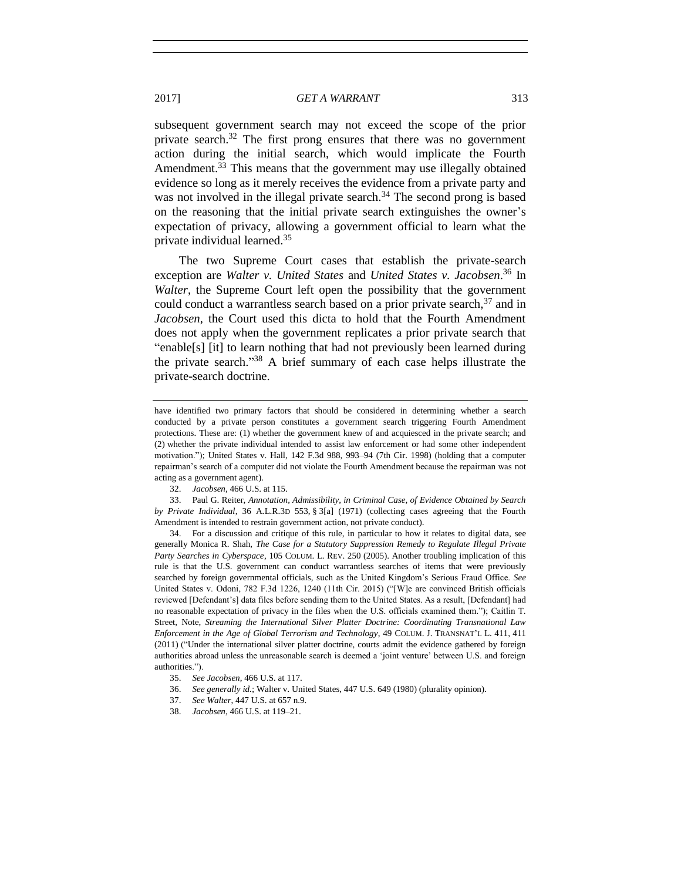subsequent government search may not exceed the scope of the prior private search.<sup>32</sup> The first prong ensures that there was no government action during the initial search, which would implicate the Fourth Amendment.<sup>33</sup> This means that the government may use illegally obtained evidence so long as it merely receives the evidence from a private party and was not involved in the illegal private search.<sup>34</sup> The second prong is based on the reasoning that the initial private search extinguishes the owner's expectation of privacy, allowing a government official to learn what the private individual learned.<sup>35</sup>

The two Supreme Court cases that establish the private-search exception are *Walter v. United States* and *United States v. Jacobsen*. <sup>36</sup> In *Walter*, the Supreme Court left open the possibility that the government could conduct a warrantless search based on a prior private search,<sup>37</sup> and in *Jacobsen*, the Court used this dicta to hold that the Fourth Amendment does not apply when the government replicates a prior private search that "enable[s] [it] to learn nothing that had not previously been learned during the private search." <sup>38</sup> A brief summary of each case helps illustrate the private-search doctrine.

36. *See generally id.*; Walter v. United States, 447 U.S. 649 (1980) (plurality opinion).

have identified two primary factors that should be considered in determining whether a search conducted by a private person constitutes a government search triggering Fourth Amendment protections. These are: (1) whether the government knew of and acquiesced in the private search; and (2) whether the private individual intended to assist law enforcement or had some other independent motivation."); United States v. Hall, 142 F.3d 988, 993–94 (7th Cir. 1998) (holding that a computer repairman's search of a computer did not violate the Fourth Amendment because the repairman was not acting as a government agent).

<sup>32.</sup> *Jacobsen*, 466 U.S. at 115.

<sup>33.</sup> Paul G. Reiter, *Annotation, Admissibility, in Criminal Case, of Evidence Obtained by Search by Private Individual*, 36 A.L.R.3D 553, § 3[a] (1971) (collecting cases agreeing that the Fourth Amendment is intended to restrain government action, not private conduct).

<sup>34.</sup> For a discussion and critique of this rule, in particular to how it relates to digital data, see generally Monica R. Shah, *The Case for a Statutory Suppression Remedy to Regulate Illegal Private Party Searches in Cyberspace*, 105 COLUM. L. REV. 250 (2005). Another troubling implication of this rule is that the U.S. government can conduct warrantless searches of items that were previously searched by foreign governmental officials, such as the United Kingdom's Serious Fraud Office. *See* United States v. Odoni, 782 F.3d 1226, 1240 (11th Cir. 2015) ("[W]e are convinced British officials reviewed [Defendant's] data files before sending them to the United States. As a result, [Defendant] had no reasonable expectation of privacy in the files when the U.S. officials examined them."); Caitlin T. Street, Note, *Streaming the International Silver Platter Doctrine: Coordinating Transnational Law Enforcement in the Age of Global Terrorism and Technology*, 49 COLUM. J. TRANSNAT'L L. 411, 411 (2011) ("Under the international silver platter doctrine, courts admit the evidence gathered by foreign authorities abroad unless the unreasonable search is deemed a 'joint venture' between U.S. and foreign authorities.").

<sup>35.</sup> *See Jacobsen*, 466 U.S. at 117.

<sup>37.</sup> *See Walter*, 447 U.S. at 657 n.9.

<sup>38.</sup> *Jacobsen*, 466 U.S. at 119–21.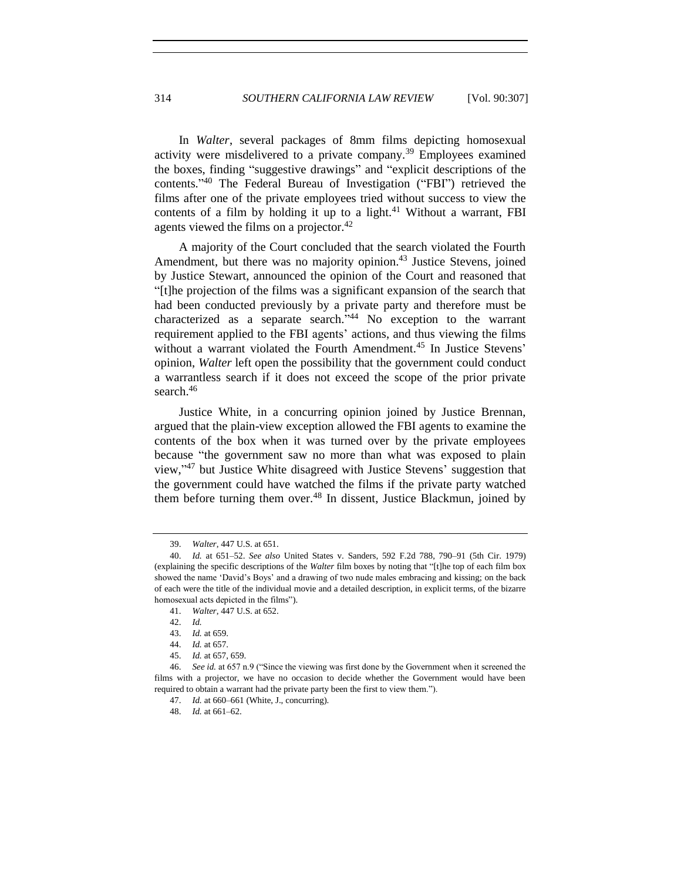In *Walter*, several packages of 8mm films depicting homosexual activity were misdelivered to a private company.<sup>39</sup> Employees examined the boxes, finding "suggestive drawings" and "explicit descriptions of the contents." <sup>40</sup> The Federal Bureau of Investigation ("FBI") retrieved the films after one of the private employees tried without success to view the contents of a film by holding it up to a light. $41$  Without a warrant, FBI agents viewed the films on a projector.<sup>42</sup>

A majority of the Court concluded that the search violated the Fourth Amendment, but there was no majority opinion.<sup>43</sup> Justice Stevens, joined by Justice Stewart, announced the opinion of the Court and reasoned that "[t]he projection of the films was a significant expansion of the search that had been conducted previously by a private party and therefore must be characterized as a separate search." <sup>44</sup> No exception to the warrant requirement applied to the FBI agents' actions, and thus viewing the films without a warrant violated the Fourth Amendment.<sup>45</sup> In Justice Stevens' opinion, *Walter* left open the possibility that the government could conduct a warrantless search if it does not exceed the scope of the prior private search.<sup>46</sup>

Justice White, in a concurring opinion joined by Justice Brennan, argued that the plain-view exception allowed the FBI agents to examine the contents of the box when it was turned over by the private employees because "the government saw no more than what was exposed to plain view," <sup>47</sup> but Justice White disagreed with Justice Stevens' suggestion that the government could have watched the films if the private party watched them before turning them over.<sup>48</sup> In dissent, Justice Blackmun, joined by

<sup>39.</sup> *Walter*, 447 U.S. at 651.

<sup>40.</sup> *Id.* at 651–52. *See also* United States v. Sanders, 592 F.2d 788, 790–91 (5th Cir. 1979) (explaining the specific descriptions of the *Walter* film boxes by noting that "[t]he top of each film box showed the name 'David's Boys' and a drawing of two nude males embracing and kissing; on the back of each were the title of the individual movie and a detailed description, in explicit terms, of the bizarre homosexual acts depicted in the films").

<sup>41.</sup> *Walter*, 447 U.S. at 652.

<sup>42.</sup> *Id.*

<sup>43.</sup> *Id.* at 659.

<sup>44.</sup> *Id.* at 657.

<sup>45.</sup> *Id.* at 657, 659.

<sup>46.</sup> *See id.* at 657 n.9 ("Since the viewing was first done by the Government when it screened the films with a projector, we have no occasion to decide whether the Government would have been required to obtain a warrant had the private party been the first to view them.").

<sup>47.</sup> *Id.* at 660–661 (White, J., concurring).

<sup>48.</sup> *Id.* at 661–62.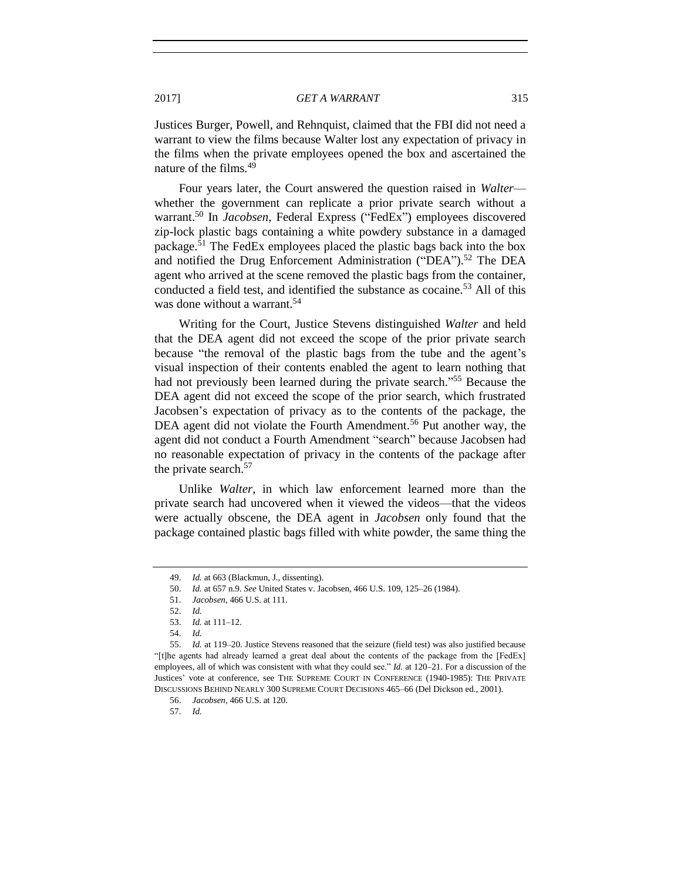Justices Burger, Powell, and Rehnquist, claimed that the FBI did not need a warrant to view the films because Walter lost any expectation of privacy in the films when the private employees opened the box and ascertained the nature of the films.<sup>49</sup>

Four years later, the Court answered the question raised in *Walter* whether the government can replicate a prior private search without a warrant.<sup>50</sup> In *Jacobsen*, Federal Express ("FedEx") employees discovered zip-lock plastic bags containing a white powdery substance in a damaged package.<sup>51</sup> The FedEx employees placed the plastic bags back into the box and notified the Drug Enforcement Administration ("DEA").<sup>52</sup> The DEA agent who arrived at the scene removed the plastic bags from the container, conducted a field test, and identified the substance as cocaine.<sup>53</sup> All of this was done without a warrant.<sup>54</sup>

Writing for the Court, Justice Stevens distinguished *Walter* and held that the DEA agent did not exceed the scope of the prior private search because "the removal of the plastic bags from the tube and the agent's visual inspection of their contents enabled the agent to learn nothing that had not previously been learned during the private search."<sup>55</sup> Because the DEA agent did not exceed the scope of the prior search, which frustrated Jacobsen's expectation of privacy as to the contents of the package, the DEA agent did not violate the Fourth Amendment.<sup>56</sup> Put another way, the agent did not conduct a Fourth Amendment "search" because Jacobsen had no reasonable expectation of privacy in the contents of the package after the private search.<sup>57</sup>

Unlike *Walter*, in which law enforcement learned more than the private search had uncovered when it viewed the videos—that the videos were actually obscene, the DEA agent in *Jacobsen* only found that the package contained plastic bags filled with white powder, the same thing the

<sup>49.</sup> *Id.* at 663 (Blackmun, J., dissenting).

<sup>50.</sup> *Id.* at 657 n.9. *See* United States v. Jacobsen, 466 U.S. 109, 125–26 (1984).

<sup>51.</sup> *Jacobsen*, 466 U.S. at 111.

<sup>52.</sup> *Id.*

<sup>53.</sup> *Id.* at 111–12.

<sup>54.</sup> *Id.*

<sup>55.</sup> *Id.* at 119–20. Justice Stevens reasoned that the seizure (field test) was also justified because "[t]he agents had already learned a great deal about the contents of the package from the [FedEx] employees, all of which was consistent with what they could see." *Id.* at 120–21. For a discussion of the Justices' vote at conference, see THE SUPREME COURT IN CONFERENCE (1940-1985): THE PRIVATE DISCUSSIONS BEHIND NEARLY 300 SUPREME COURT DECISIONS 465–66 (Del Dickson ed., 2001).

<sup>56.</sup> *Jacobsen*, 466 U.S. at 120.

<sup>57.</sup> *Id.*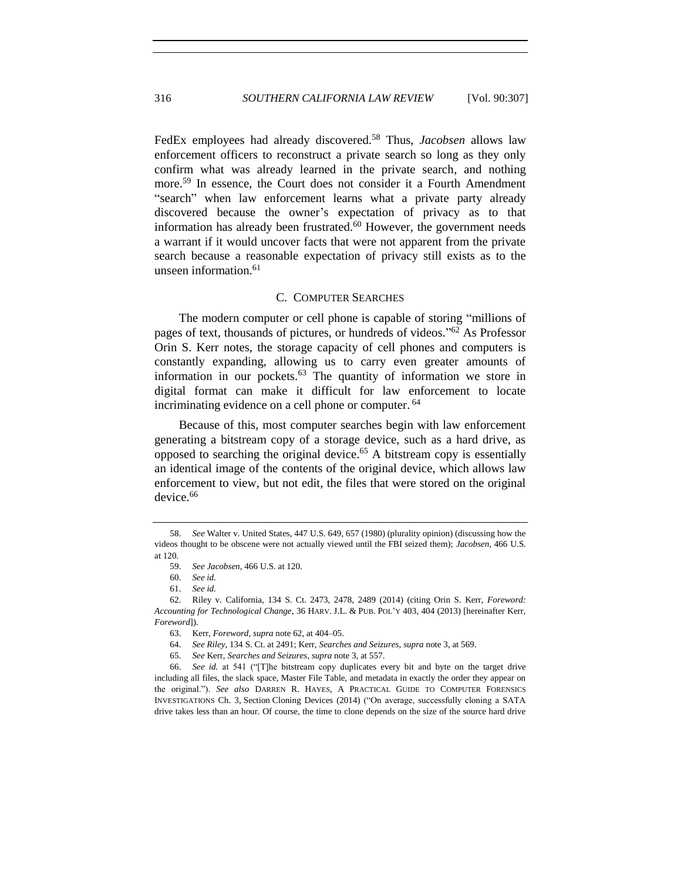FedEx employees had already discovered.<sup>58</sup> Thus, *Jacobsen* allows law enforcement officers to reconstruct a private search so long as they only confirm what was already learned in the private search, and nothing more. <sup>59</sup> In essence, the Court does not consider it a Fourth Amendment "search" when law enforcement learns what a private party already discovered because the owner's expectation of privacy as to that information has already been frustrated. $60$  However, the government needs a warrant if it would uncover facts that were not apparent from the private search because a reasonable expectation of privacy still exists as to the unseen information.<sup>61</sup>

## <span id="page-9-0"></span>C. COMPUTER SEARCHES

The modern computer or cell phone is capable of storing "millions of pages of text, thousands of pictures, or hundreds of videos." <sup>62</sup> As Professor Orin S. Kerr notes, the storage capacity of cell phones and computers is constantly expanding, allowing us to carry even greater amounts of information in our pockets.<sup>63</sup> The quantity of information we store in digital format can make it difficult for law enforcement to locate incriminating evidence on a cell phone or computer.<sup>64</sup>

Because of this, most computer searches begin with law enforcement generating a bitstream copy of a storage device, such as a hard drive, as opposed to searching the original device.<sup>65</sup> A bitstream copy is essentially an identical image of the contents of the original device, which allows law enforcement to view, but not edit, the files that were stored on the original device.<sup>66</sup>

<sup>58.</sup> *See* Walter v. United States, 447 U.S. 649, 657 (1980) (plurality opinion) (discussing how the videos thought to be obscene were not actually viewed until the FBI seized them); *Jacobsen*, 466 U.S. at 120.

<sup>59.</sup> *See Jacobsen*, 466 U.S. at 120.

<sup>60.</sup> *See id.*

<sup>61.</sup> *See id.*

<sup>62.</sup> Riley v. California, 134 S. Ct. 2473, 2478, 2489 (2014) (citing Orin S. Kerr, *Foreword: Accounting for Technological Change*, 36 HARV. J.L. & PUB. POL'Y 403, 404 (2013) [hereinafter Kerr, *Foreword*]).

<sup>63.</sup> Kerr, *Foreword*, *supra* not[e 62,](#page-9-0) at 404–05.

<sup>64.</sup> *See Riley*, 134 S. Ct. at 2491; Kerr, *Searches and Seizures*, *supra* not[e 3,](#page-1-0) at 569.

<sup>65.</sup> *See* Kerr, *Searches and Seizures*, *supra* not[e 3,](#page-1-0) at 557.

<sup>66.</sup> *See id.* at 541 ("[T]he bitstream copy duplicates every bit and byte on the target drive including all files, the slack space, Master File Table, and metadata in exactly the order they appear on the original."). *See also* DARREN R. HAYES, A PRACTICAL GUIDE TO COMPUTER FORENSICS INVESTIGATIONS Ch. 3, Section Cloning Devices (2014) ("On average, successfully cloning a SATA drive takes less than an hour. Of course, the time to clone depends on the size of the source hard drive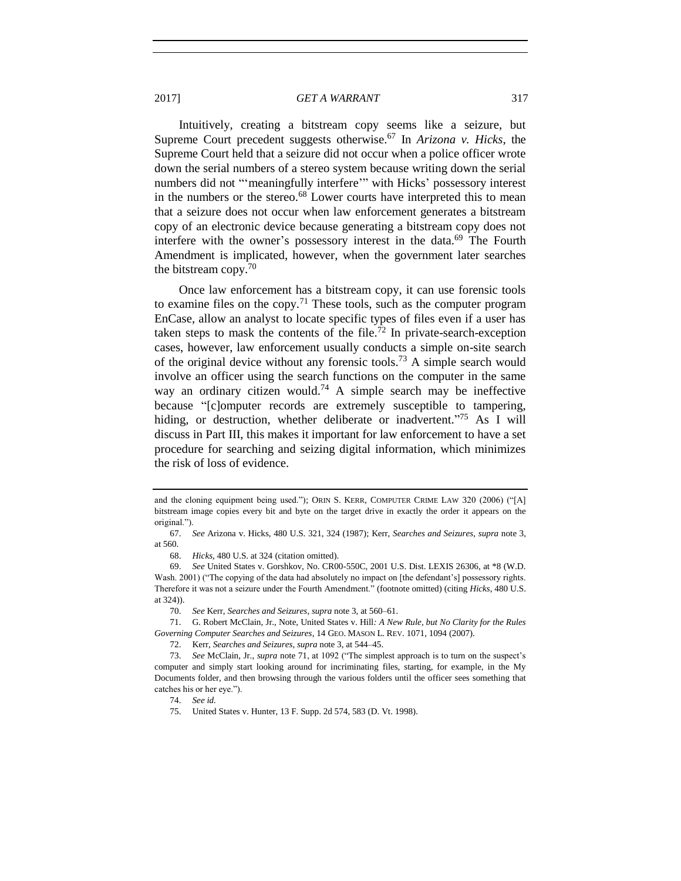Intuitively, creating a bitstream copy seems like a seizure, but Supreme Court precedent suggests otherwise.<sup>67</sup> In *Arizona v. Hicks*, the Supreme Court held that a seizure did not occur when a police officer wrote down the serial numbers of a stereo system because writing down the serial numbers did not "'meaningfully interfere'" with Hicks' possessory interest in the numbers or the stereo.<sup>68</sup> Lower courts have interpreted this to mean that a seizure does not occur when law enforcement generates a bitstream copy of an electronic device because generating a bitstream copy does not interfere with the owner's possessory interest in the data. $69$  The Fourth Amendment is implicated, however, when the government later searches the bitstream copy.<sup>70</sup>

<span id="page-10-0"></span>Once law enforcement has a bitstream copy, it can use forensic tools to examine files on the copy.<sup>71</sup> These tools, such as the computer program EnCase, allow an analyst to locate specific types of files even if a user has taken steps to mask the contents of the file.<sup>72</sup> In private-search-exception cases, however, law enforcement usually conducts a simple on-site search of the original device without any forensic tools.<sup>73</sup> A simple search would involve an officer using the search functions on the computer in the same way an ordinary citizen would.<sup>74</sup> A simple search may be ineffective because "[c]omputer records are extremely susceptible to tampering, hiding, or destruction, whether deliberate or inadvertent."<sup>75</sup> As I will discuss in Part III, this makes it important for law enforcement to have a set procedure for searching and seizing digital information, which minimizes the risk of loss of evidence.

68. *Hicks*, 480 U.S. at 324 (citation omitted).

and the cloning equipment being used."); ORIN S. KERR, COMPUTER CRIME LAW 320 (2006) ("[A] bitstream image copies every bit and byte on the target drive in exactly the order it appears on the original.").

<sup>67.</sup> *See* Arizona v. Hicks, 480 U.S. 321, 324 (1987); Kerr, *Searches and Seizures*, *supra* note [3,](#page-1-0) at 560.

<sup>69.</sup> *See* United States v. Gorshkov, No. CR00-550C, 2001 U.S. Dist. LEXIS 26306, at \*8 (W.D. Wash. 2001) ("The copying of the data had absolutely no impact on [the defendant's] possessory rights. Therefore it was not a seizure under the Fourth Amendment." (footnote omitted) (citing *Hicks*, 480 U.S. at 324)).

<sup>70.</sup> *See* Kerr, *Searches and Seizures*, *supra* not[e 3,](#page-1-0) at 560–61.

<sup>71.</sup> G. Robert McClain, Jr., Note, United States v. Hill*: A New Rule, but No Clarity for the Rules Governing Computer Searches and Seizures*, 14 GEO. MASON L. REV. 1071, 1094 (2007).

<sup>72.</sup> Kerr, *Searches and Seizures*, *supra* not[e 3,](#page-1-0) at 544–45.

<sup>73.</sup> *See* McClain, Jr., *supra* note [71,](#page-10-0) at 1092 ("The simplest approach is to turn on the suspect's computer and simply start looking around for incriminating files, starting, for example, in the My Documents folder, and then browsing through the various folders until the officer sees something that catches his or her eye.").

<sup>74.</sup> *See id.*

<sup>75.</sup> United States v. Hunter, 13 F. Supp. 2d 574, 583 (D. Vt. 1998).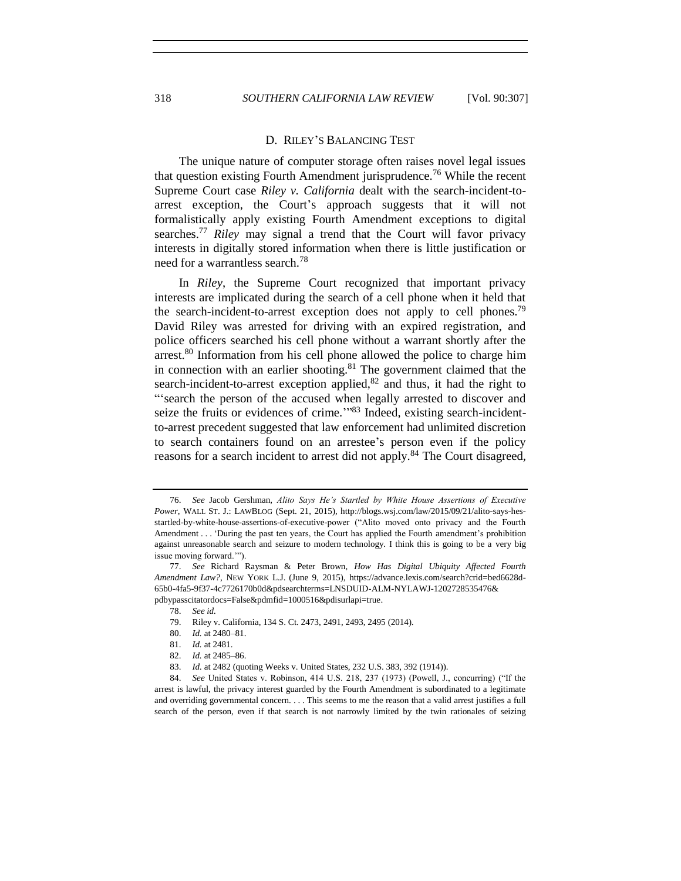## <span id="page-11-0"></span>D. RILEY'S BALANCING TEST

The unique nature of computer storage often raises novel legal issues that question existing Fourth Amendment jurisprudence.<sup>76</sup> While the recent Supreme Court case *Riley v. California* dealt with the search-incident-toarrest exception, the Court's approach suggests that it will not formalistically apply existing Fourth Amendment exceptions to digital searches.<sup>77</sup> *Riley* may signal a trend that the Court will favor privacy interests in digitally stored information when there is little justification or need for a warrantless search.<sup>78</sup>

<span id="page-11-1"></span>In *Riley*, the Supreme Court recognized that important privacy interests are implicated during the search of a cell phone when it held that the search-incident-to-arrest exception does not apply to cell phones.<sup>79</sup> David Riley was arrested for driving with an expired registration, and police officers searched his cell phone without a warrant shortly after the arrest.<sup>80</sup> Information from his cell phone allowed the police to charge him in connection with an earlier shooting.<sup>81</sup> The government claimed that the search-incident-to-arrest exception applied, $82$  and thus, it had the right to "'search the person of the accused when legally arrested to discover and seize the fruits or evidences of crime."<sup>83</sup> Indeed, existing search-incidentto-arrest precedent suggested that law enforcement had unlimited discretion to search containers found on an arrestee's person even if the policy reasons for a search incident to arrest did not apply.<sup>84</sup> The Court disagreed,

<sup>76.</sup> *See* Jacob Gershman, *Alito Says He's Startled by White House Assertions of Executive Power*, WALL ST. J.: LAWBLOG (Sept. 21, 2015), http://blogs.wsj.com/law/2015/09/21/alito-says-hesstartled-by-white-house-assertions-of-executive-power ("Alito moved onto privacy and the Fourth Amendment . . . 'During the past ten years, the Court has applied the Fourth amendment's prohibition against unreasonable search and seizure to modern technology. I think this is going to be a very big issue moving forward.'").

<sup>77.</sup> *See* Richard Raysman & Peter Brown, *How Has Digital Ubiquity Affected Fourth Amendment Law?*, NEW YORK L.J. (June 9, 2015), https://advance.lexis.com/search?crid=bed6628d-65b0-4fa5-9f37-4c7726170b0d&pdsearchterms=LNSDUID-ALM-NYLAWJ-1202728535476& pdbypasscitatordocs=False&pdmfid=1000516&pdisurlapi=true.

<sup>78.</sup> *See id.*

<sup>79.</sup> Riley v. California, 134 S. Ct. 2473, 2491, 2493, 2495 (2014).

<sup>80.</sup> *Id.* at 2480–81.

<sup>81.</sup> *Id.* at 2481.

<sup>82.</sup> *Id.* at 2485–86.

<sup>83.</sup> *Id.* at 2482 (quoting Weeks v. United States, 232 U.S. 383, 392 (1914)).

<sup>84.</sup> *See* United States v. Robinson, 414 U.S. 218, 237 (1973) (Powell, J., concurring) ("If the arrest is lawful, the privacy interest guarded by the Fourth Amendment is subordinated to a legitimate and overriding governmental concern. . . . This seems to me the reason that a valid arrest justifies a full search of the person, even if that search is not narrowly limited by the twin rationales of seizing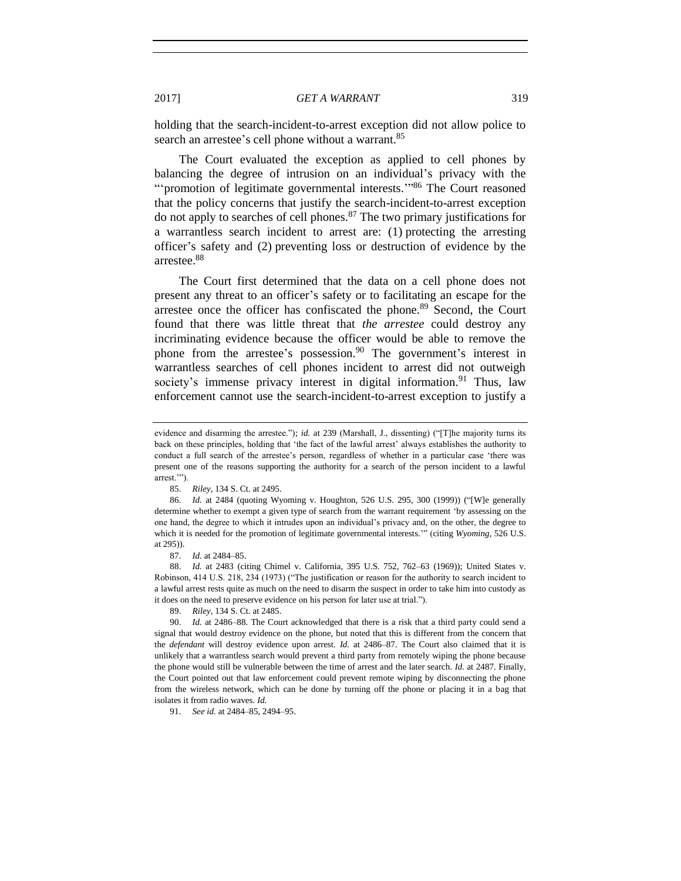holding that the search-incident-to-arrest exception did not allow police to search an arrestee's cell phone without a warrant.<sup>85</sup>

The Court evaluated the exception as applied to cell phones by balancing the degree of intrusion on an individual's privacy with the "'promotion of legitimate governmental interests."<sup>86</sup> The Court reasoned that the policy concerns that justify the search-incident-to-arrest exception do not apply to searches of cell phones. $87$  The two primary justifications for a warrantless search incident to arrest are: (1) protecting the arresting officer's safety and (2) preventing loss or destruction of evidence by the arrestee.<sup>88</sup>

The Court first determined that the data on a cell phone does not present any threat to an officer's safety or to facilitating an escape for the arrestee once the officer has confiscated the phone.<sup>89</sup> Second, the Court found that there was little threat that *the arrestee* could destroy any incriminating evidence because the officer would be able to remove the phone from the arrestee's possession.<sup>90</sup> The government's interest in warrantless searches of cell phones incident to arrest did not outweigh society's immense privacy interest in digital information.<sup>91</sup> Thus, law enforcement cannot use the search-incident-to-arrest exception to justify a

91. *See id.* at 2484–85, 2494–95.

evidence and disarming the arrestee."); *id.* at 239 (Marshall, J., dissenting) ("[T]he majority turns its back on these principles, holding that 'the fact of the lawful arrest' always establishes the authority to conduct a full search of the arrestee's person, regardless of whether in a particular case 'there was present one of the reasons supporting the authority for a search of the person incident to a lawful arrest.'").

<sup>85.</sup> *Riley*, 134 S. Ct. at 2495.

<sup>86.</sup> *Id.* at 2484 (quoting Wyoming v. Houghton, 526 U.S. 295, 300 (1999)) ("[W]e generally determine whether to exempt a given type of search from the warrant requirement 'by assessing on the one hand, the degree to which it intrudes upon an individual's privacy and, on the other, the degree to which it is needed for the promotion of legitimate governmental interests.'" (citing *Wyoming*, 526 U.S. at 295)).

<sup>87.</sup> *Id.* at 2484–85.

<sup>88.</sup> *Id.* at 2483 (citing Chimel v. California, 395 U.S. 752, 762–63 (1969)); United States v. Robinson, 414 U.S. 218, 234 (1973) ("The justification or reason for the authority to search incident to a lawful arrest rests quite as much on the need to disarm the suspect in order to take him into custody as it does on the need to preserve evidence on his person for later use at trial.").

<sup>89.</sup> *Riley*, 134 S. Ct. at 2485.

<sup>90.</sup> *Id.* at 2486–88. The Court acknowledged that there is a risk that a third party could send a signal that would destroy evidence on the phone, but noted that this is different from the concern that the *defendant* will destroy evidence upon arrest. *Id.* at 2486–87. The Court also claimed that it is unlikely that a warrantless search would prevent a third party from remotely wiping the phone because the phone would still be vulnerable between the time of arrest and the later search. *Id.* at 2487. Finally, the Court pointed out that law enforcement could prevent remote wiping by disconnecting the phone from the wireless network, which can be done by turning off the phone or placing it in a bag that isolates it from radio waves. *Id.*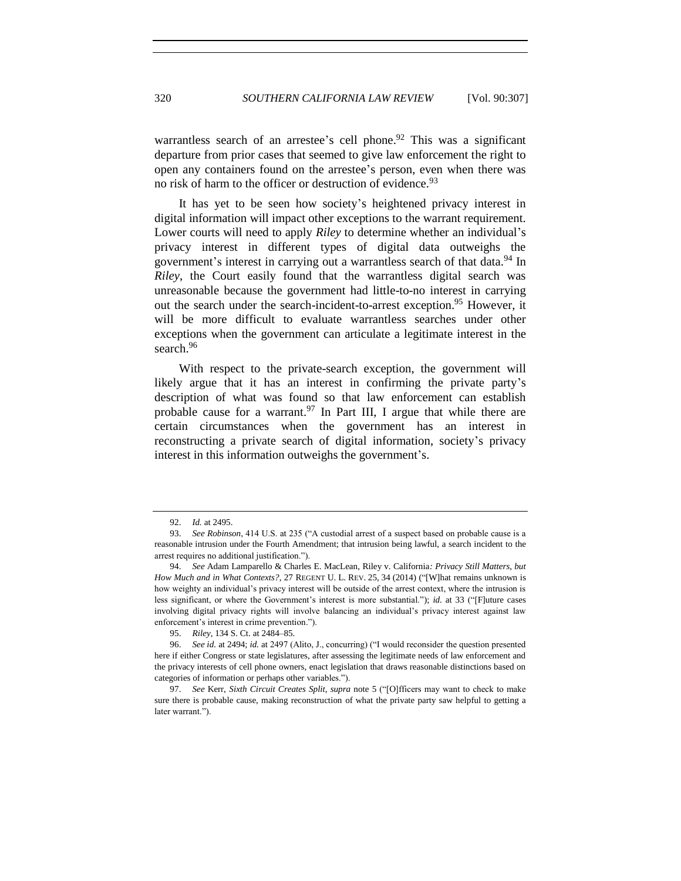warrantless search of an arrestee's cell phone.<sup>92</sup> This was a significant departure from prior cases that seemed to give law enforcement the right to open any containers found on the arrestee's person, even when there was no risk of harm to the officer or destruction of evidence.<sup>93</sup>

It has yet to be seen how society's heightened privacy interest in digital information will impact other exceptions to the warrant requirement. Lower courts will need to apply *Riley* to determine whether an individual's privacy interest in different types of digital data outweighs the government's interest in carrying out a warrantless search of that data.<sup>94</sup> In *Riley*, the Court easily found that the warrantless digital search was unreasonable because the government had little-to-no interest in carrying out the search under the search-incident-to-arrest exception.<sup>95</sup> However, it will be more difficult to evaluate warrantless searches under other exceptions when the government can articulate a legitimate interest in the search.<sup>96</sup>

With respect to the private-search exception, the government will likely argue that it has an interest in confirming the private party's description of what was found so that law enforcement can establish probable cause for a warrant.<sup>97</sup> In Part III, I argue that while there are certain circumstances when the government has an interest in reconstructing a private search of digital information, society's privacy interest in this information outweighs the government's.

<sup>92.</sup> *Id.* at 2495.

<sup>93.</sup> *See Robinson*, 414 U.S. at 235 ("A custodial arrest of a suspect based on probable cause is a reasonable intrusion under the Fourth Amendment; that intrusion being lawful, a search incident to the arrest requires no additional justification.").

<sup>94.</sup> *See* Adam Lamparello & Charles E. MacLean, Riley v. California*: Privacy Still Matters, but How Much and in What Contexts?, 27 REGENT U. L. REV. 25, 34 (2014)* ("[W]hat remains unknown is how weighty an individual's privacy interest will be outside of the arrest context, where the intrusion is less significant, or where the Government's interest is more substantial."); *id.* at 33 ("[F]uture cases involving digital privacy rights will involve balancing an individual's privacy interest against law enforcement's interest in crime prevention.").

<sup>95.</sup> *Riley*, 134 S. Ct. at 2484–85.

<sup>96.</sup> *See id.* at 2494; *id.* at 2497 (Alito, J., concurring) ("I would reconsider the question presented here if either Congress or state legislatures, after assessing the legitimate needs of law enforcement and the privacy interests of cell phone owners, enact legislation that draws reasonable distinctions based on categories of information or perhaps other variables.").

<sup>97.</sup> *See* Kerr, *Sixth Circuit Creates Split*, *supra* note [5](#page-1-1) ("[O]fficers may want to check to make sure there is probable cause, making reconstruction of what the private party saw helpful to getting a later warrant.").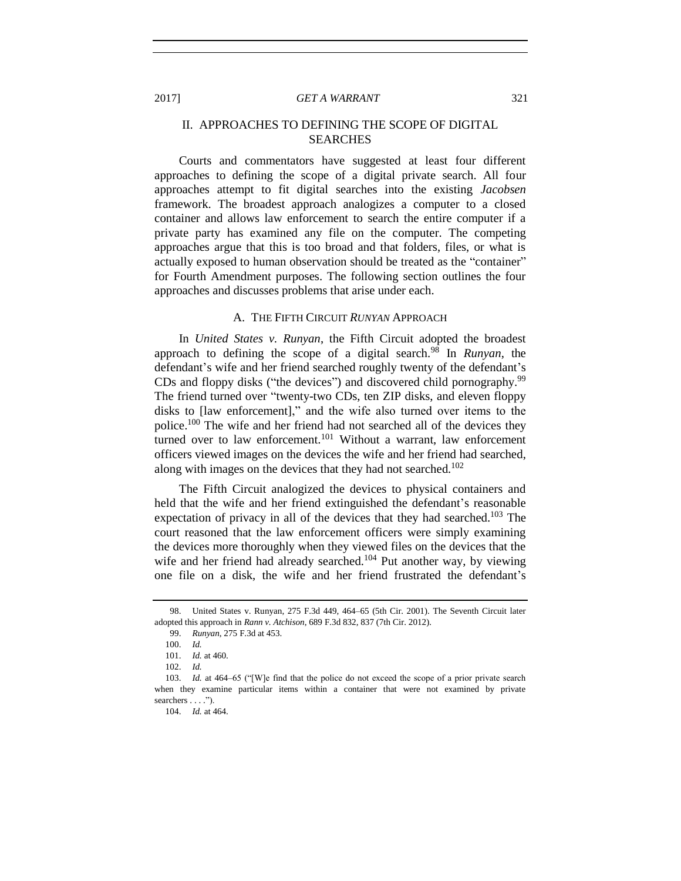# II. APPROACHES TO DEFINING THE SCOPE OF DIGITAL SEARCHES

Courts and commentators have suggested at least four different approaches to defining the scope of a digital private search. All four approaches attempt to fit digital searches into the existing *Jacobsen* framework. The broadest approach analogizes a computer to a closed container and allows law enforcement to search the entire computer if a private party has examined any file on the computer. The competing approaches argue that this is too broad and that folders, files, or what is actually exposed to human observation should be treated as the "container" for Fourth Amendment purposes. The following section outlines the four approaches and discusses problems that arise under each.

# A. THE FIFTH CIRCUIT *RUNYAN* APPROACH

In *United States v. Runyan*, the Fifth Circuit adopted the broadest approach to defining the scope of a digital search.<sup>98</sup> In *Runyan*, the defendant's wife and her friend searched roughly twenty of the defendant's CDs and floppy disks ("the devices") and discovered child pornography.<sup>99</sup> The friend turned over "twenty-two CDs, ten ZIP disks, and eleven floppy disks to [law enforcement]," and the wife also turned over items to the police.<sup>100</sup> The wife and her friend had not searched all of the devices they turned over to law enforcement.<sup>101</sup> Without a warrant, law enforcement officers viewed images on the devices the wife and her friend had searched, along with images on the devices that they had not searched.<sup>102</sup>

The Fifth Circuit analogized the devices to physical containers and held that the wife and her friend extinguished the defendant's reasonable expectation of privacy in all of the devices that they had searched.<sup>103</sup> The court reasoned that the law enforcement officers were simply examining the devices more thoroughly when they viewed files on the devices that the wife and her friend had already searched.<sup>104</sup> Put another way, by viewing one file on a disk, the wife and her friend frustrated the defendant's

<sup>98.</sup> United States v. Runyan, 275 F.3d 449, 464–65 (5th Cir. 2001). The Seventh Circuit later adopted this approach in *Rann v. Atchison*, 689 F.3d 832, 837 (7th Cir. 2012).

<sup>99.</sup> *Runyan*, 275 F.3d at 453.

<sup>100.</sup> *Id.*

<sup>101.</sup> *Id.* at 460.

<sup>102.</sup> *Id.*

<sup>103.</sup> *Id.* at 464–65 ("[W]e find that the police do not exceed the scope of a prior private search when they examine particular items within a container that were not examined by private searchers . . . .").

<sup>104.</sup> *Id.* at 464.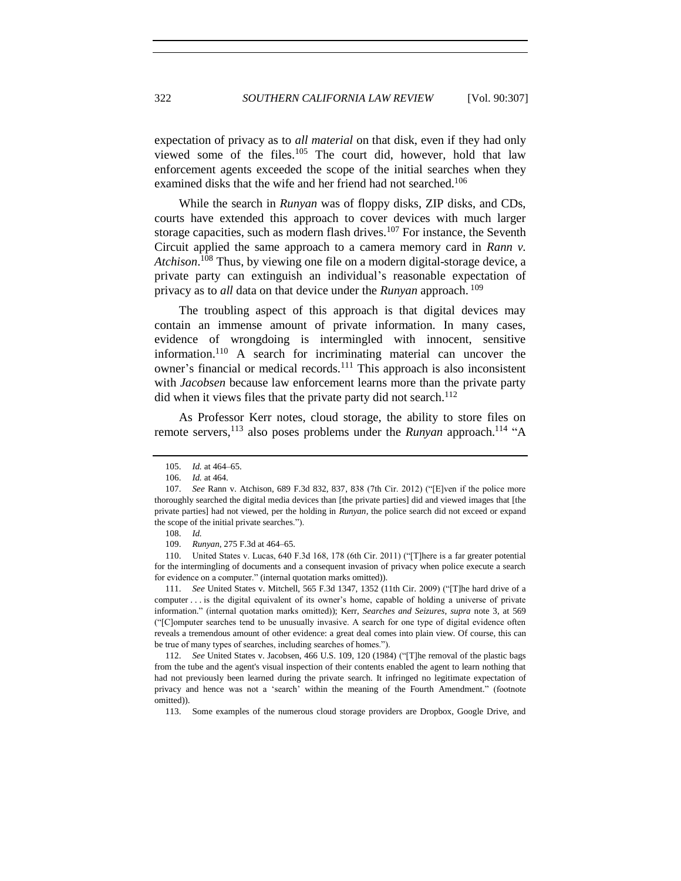expectation of privacy as to *all material* on that disk, even if they had only viewed some of the files.<sup>105</sup> The court did, however, hold that law enforcement agents exceeded the scope of the initial searches when they examined disks that the wife and her friend had not searched.<sup>106</sup>

While the search in *Runyan* was of floppy disks, ZIP disks, and CDs, courts have extended this approach to cover devices with much larger storage capacities, such as modern flash drives. $107$  For instance, the Seventh Circuit applied the same approach to a camera memory card in *Rann v. Atchison*. <sup>108</sup> Thus, by viewing one file on a modern digital-storage device, a private party can extinguish an individual's reasonable expectation of privacy as to *all* data on that device under the *Runyan* approach. <sup>109</sup>

The troubling aspect of this approach is that digital devices may contain an immense amount of private information. In many cases, evidence of wrongdoing is intermingled with innocent, sensitive information.<sup>110</sup> A search for incriminating material can uncover the owner's financial or medical records.<sup>111</sup> This approach is also inconsistent with *Jacobsen* because law enforcement learns more than the private party did when it views files that the private party did not search.<sup>112</sup>

As Professor Kerr notes, cloud storage, the ability to store files on remote servers,<sup>113</sup> also poses problems under the *Runyan* approach.<sup>114</sup> "A

<span id="page-15-0"></span><sup>105.</sup> *Id.* at 464–65.

<sup>106.</sup> *Id.* at 464.

<sup>107.</sup> *See* Rann v. Atchison, 689 F.3d 832, 837, 838 (7th Cir. 2012) ("[E]ven if the police more thoroughly searched the digital media devices than [the private parties] did and viewed images that [the private parties] had not viewed, per the holding in *Runyan*, the police search did not exceed or expand the scope of the initial private searches.").

<sup>108.</sup> *Id.*

<sup>109.</sup> *Runyan*, 275 F.3d at 464–65.

<sup>110.</sup> United States v. Lucas, 640 F.3d 168, 178 (6th Cir. 2011) ("[T]here is a far greater potential for the intermingling of documents and a consequent invasion of privacy when police execute a search for evidence on a computer." (internal quotation marks omitted)).

<sup>111.</sup> *See* United States v. Mitchell, 565 F.3d 1347, 1352 (11th Cir. 2009) ("[T]he hard drive of a computer . . . is the digital equivalent of its owner's home, capable of holding a universe of private information." (internal quotation marks omitted)); Kerr, *Searches and Seizures*, *supra* note [3,](#page-1-0) at 569 ("[C]omputer searches tend to be unusually invasive. A search for one type of digital evidence often reveals a tremendous amount of other evidence: a great deal comes into plain view. Of course, this can be true of many types of searches, including searches of homes.").

<sup>112.</sup> *See* United States v. Jacobsen, 466 U.S. 109, 120 (1984) ("[T]he removal of the plastic bags from the tube and the agent's visual inspection of their contents enabled the agent to learn nothing that had not previously been learned during the private search. It infringed no legitimate expectation of privacy and hence was not a 'search' within the meaning of the Fourth Amendment." (footnote omitted)).

<sup>113.</sup> Some examples of the numerous cloud storage providers are Dropbox, Google Drive, and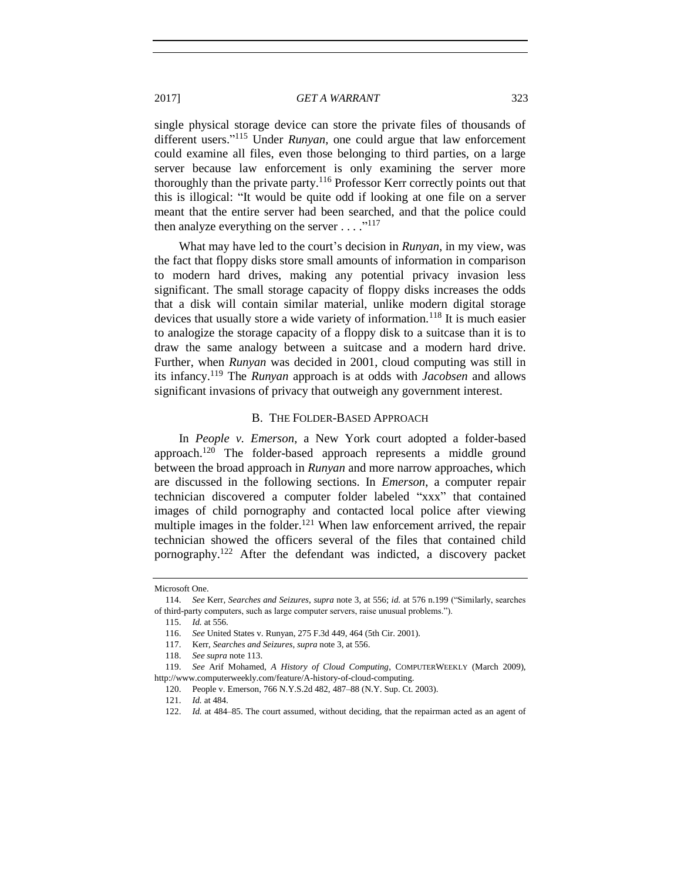single physical storage device can store the private files of thousands of different users." <sup>115</sup> Under *Runyan*, one could argue that law enforcement could examine all files, even those belonging to third parties, on a large server because law enforcement is only examining the server more thoroughly than the private party.<sup>116</sup> Professor Kerr correctly points out that this is illogical: "It would be quite odd if looking at one file on a server meant that the entire server had been searched, and that the police could then analyze everything on the server  $\dots$ ."<sup>117</sup>

What may have led to the court's decision in *Runyan*, in my view, was the fact that floppy disks store small amounts of information in comparison to modern hard drives, making any potential privacy invasion less significant. The small storage capacity of floppy disks increases the odds that a disk will contain similar material, unlike modern digital storage devices that usually store a wide variety of information.<sup>118</sup> It is much easier to analogize the storage capacity of a floppy disk to a suitcase than it is to draw the same analogy between a suitcase and a modern hard drive. Further, when *Runyan* was decided in 2001, cloud computing was still in its infancy.<sup>119</sup> The *Runyan* approach is at odds with *Jacobsen* and allows significant invasions of privacy that outweigh any government interest.

#### B. THE FOLDER-BASED APPROACH

In *People v. Emerson*, a New York court adopted a folder-based approach.<sup>120</sup> The folder-based approach represents a middle ground between the broad approach in *Runyan* and more narrow approaches, which are discussed in the following sections. In *Emerson*, a computer repair technician discovered a computer folder labeled "xxx" that contained images of child pornography and contacted local police after viewing multiple images in the folder.<sup>121</sup> When law enforcement arrived, the repair technician showed the officers several of the files that contained child pornography.<sup>122</sup> After the defendant was indicted, a discovery packet

Microsoft One.

<sup>114.</sup> *See* Kerr, *Searches and Seizures*, *supra* note [3,](#page-1-0) at 556; *id.* at 576 n.199 ("Similarly, searches of third-party computers, such as large computer servers, raise unusual problems.").

<sup>115.</sup> *Id.* at 556.

<sup>116.</sup> *See* United States v. Runyan, 275 F.3d 449, 464 (5th Cir. 2001).

<sup>117.</sup> Kerr, *Searches and Seizures*, *supra* not[e 3,](#page-1-0) at 556.

<sup>118.</sup> *See supra* not[e 113.](#page-15-0)

<sup>119.</sup> *See* Arif Mohamed, *A History of Cloud Computing*, COMPUTERWEEKLY (March 2009), http://www.computerweekly.com/feature/A-history-of-cloud-computing.

<sup>120.</sup> People v. Emerson, 766 N.Y.S.2d 482, 487–88 (N.Y. Sup. Ct. 2003).

<sup>121.</sup> *Id.* at 484.

<sup>122.</sup> *Id.* at 484–85. The court assumed, without deciding, that the repairman acted as an agent of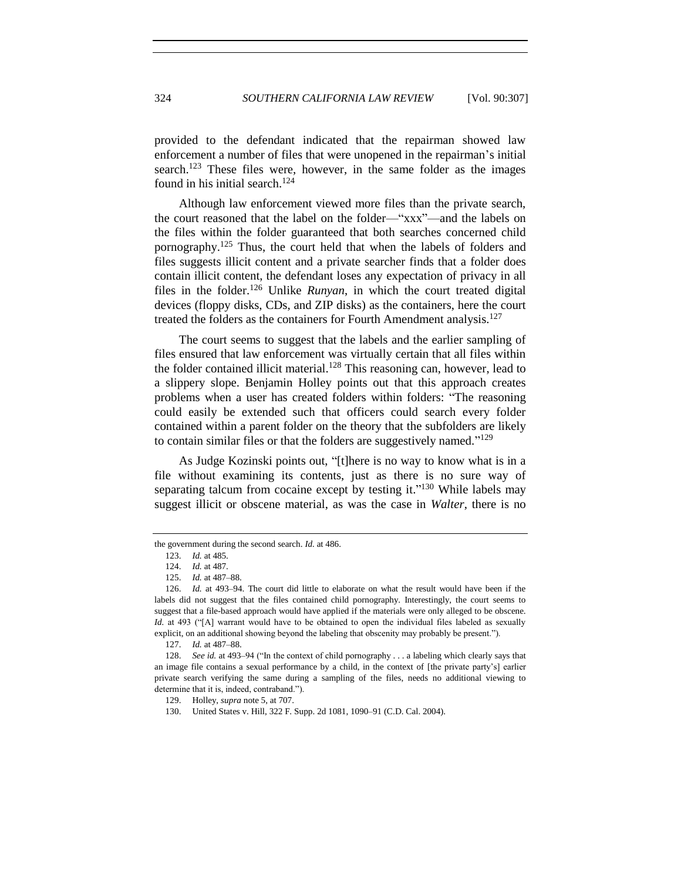provided to the defendant indicated that the repairman showed law enforcement a number of files that were unopened in the repairman's initial search.<sup>123</sup> These files were, however, in the same folder as the images found in his initial search.<sup>124</sup>

Although law enforcement viewed more files than the private search, the court reasoned that the label on the folder—"xxx"—and the labels on the files within the folder guaranteed that both searches concerned child pornography.<sup>125</sup> Thus, the court held that when the labels of folders and files suggests illicit content and a private searcher finds that a folder does contain illicit content, the defendant loses any expectation of privacy in all files in the folder.<sup>126</sup> Unlike *Runyan*, in which the court treated digital devices (floppy disks, CDs, and ZIP disks) as the containers, here the court treated the folders as the containers for Fourth Amendment analysis.<sup>127</sup>

The court seems to suggest that the labels and the earlier sampling of files ensured that law enforcement was virtually certain that all files within the folder contained illicit material.<sup>128</sup> This reasoning can, however, lead to a slippery slope. Benjamin Holley points out that this approach creates problems when a user has created folders within folders: "The reasoning could easily be extended such that officers could search every folder contained within a parent folder on the theory that the subfolders are likely to contain similar files or that the folders are suggestively named."<sup>129</sup>

As Judge Kozinski points out, "[t]here is no way to know what is in a file without examining its contents, just as there is no sure way of separating talcum from cocaine except by testing it."<sup>130</sup> While labels may suggest illicit or obscene material, as was the case in *Walter*, there is no

the government during the second search. *Id.* at 486.

<sup>123.</sup> *Id.* at 485.

<sup>124.</sup> *Id.* at 487.

<sup>125.</sup> *Id.* at 487–88.

<sup>126.</sup> *Id.* at 493–94. The court did little to elaborate on what the result would have been if the labels did not suggest that the files contained child pornography. Interestingly, the court seems to suggest that a file-based approach would have applied if the materials were only alleged to be obscene. *Id.* at 493 ("[A] warrant would have to be obtained to open the individual files labeled as sexually explicit, on an additional showing beyond the labeling that obscenity may probably be present.").

<sup>127.</sup> *Id.* at 487–88.

<sup>128.</sup> *See id.* at 493–94 ("In the context of child pornography . . . a labeling which clearly says that an image file contains a sexual performance by a child, in the context of [the private party's] earlier private search verifying the same during a sampling of the files, needs no additional viewing to determine that it is, indeed, contraband.").

<sup>129.</sup> Holley, *supra* note [5,](#page-1-1) at 707.

<sup>130.</sup> United States v. Hill, 322 F. Supp. 2d 1081, 1090–91 (C.D. Cal. 2004).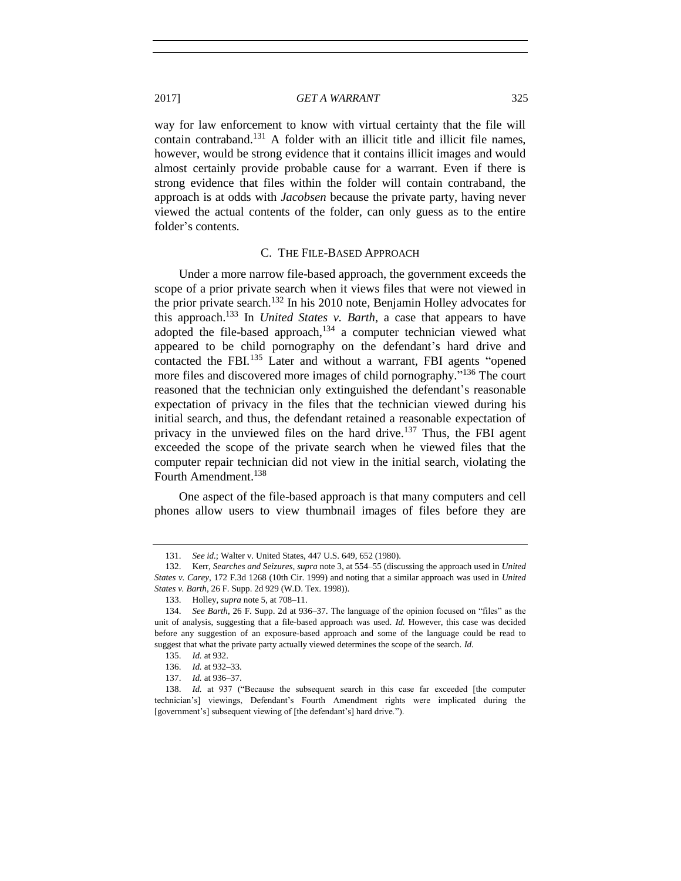way for law enforcement to know with virtual certainty that the file will contain contraband.<sup>131</sup> A folder with an illicit title and illicit file names, however, would be strong evidence that it contains illicit images and would almost certainly provide probable cause for a warrant. Even if there is strong evidence that files within the folder will contain contraband, the approach is at odds with *Jacobsen* because the private party, having never viewed the actual contents of the folder, can only guess as to the entire folder's contents.

## C. THE FILE-BASED APPROACH

Under a more narrow file-based approach, the government exceeds the scope of a prior private search when it views files that were not viewed in the prior private search.<sup>132</sup> In his 2010 note, Benjamin Holley advocates for this approach.<sup>133</sup> In *United States v. Barth*, a case that appears to have adopted the file-based approach, $134$  a computer technician viewed what appeared to be child pornography on the defendant's hard drive and contacted the FBI.<sup>135</sup> Later and without a warrant, FBI agents "opened more files and discovered more images of child pornography."<sup>136</sup> The court reasoned that the technician only extinguished the defendant's reasonable expectation of privacy in the files that the technician viewed during his initial search, and thus, the defendant retained a reasonable expectation of privacy in the unviewed files on the hard drive.<sup>137</sup> Thus, the FBI agent exceeded the scope of the private search when he viewed files that the computer repair technician did not view in the initial search, violating the Fourth Amendment.<sup>138</sup>

One aspect of the file-based approach is that many computers and cell phones allow users to view thumbnail images of files before they are

<sup>131.</sup> *See id.*; Walter v. United States, 447 U.S. 649, 652 (1980).

<sup>132.</sup> Kerr, *Searches and Seizures*, *supra* not[e 3,](#page-1-0) at 554–55 (discussing the approach used in *United States v. Carey*, 172 F.3d 1268 (10th Cir. 1999) and noting that a similar approach was used in *United States v. Barth*, 26 F. Supp. 2d 929 (W.D. Tex. 1998)).

<sup>133.</sup> Holley, *supra* note [5,](#page-1-1) at 708–11.

<sup>134.</sup> *See Barth*, 26 F. Supp. 2d at 936–37. The language of the opinion focused on "files" as the unit of analysis, suggesting that a file-based approach was used. *Id.* However, this case was decided before any suggestion of an exposure-based approach and some of the language could be read to suggest that what the private party actually viewed determines the scope of the search. *Id.*

<sup>135.</sup> *Id.* at 932.

<sup>136.</sup> *Id.* at 932–33.

<sup>137.</sup> *Id.* at 936–37.

<sup>138.</sup> *Id.* at 937 ("Because the subsequent search in this case far exceeded [the computer technician's] viewings, Defendant's Fourth Amendment rights were implicated during the [government's] subsequent viewing of [the defendant's] hard drive.").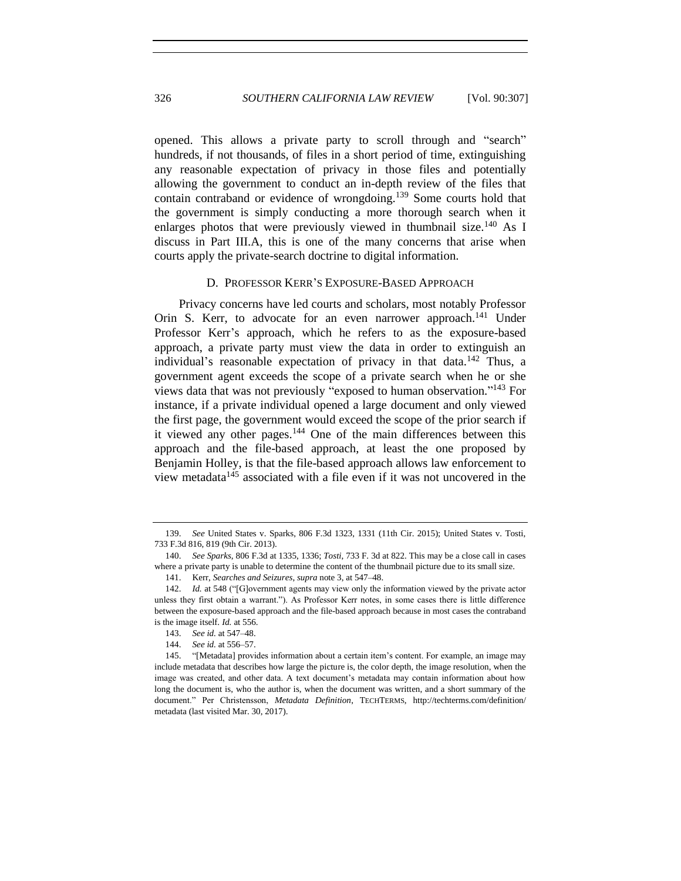opened. This allows a private party to scroll through and "search" hundreds, if not thousands, of files in a short period of time, extinguishing any reasonable expectation of privacy in those files and potentially allowing the government to conduct an in-depth review of the files that contain contraband or evidence of wrongdoing.<sup>139</sup> Some courts hold that the government is simply conducting a more thorough search when it enlarges photos that were previously viewed in thumbnail size.<sup>140</sup> As I discuss in Part III.A, this is one of the many concerns that arise when courts apply the private-search doctrine to digital information.

#### D. PROFESSOR KERR'S EXPOSURE-BASED APPROACH

Privacy concerns have led courts and scholars, most notably Professor Orin S. Kerr, to advocate for an even narrower approach.<sup>141</sup> Under Professor Kerr's approach, which he refers to as the exposure-based approach, a private party must view the data in order to extinguish an individual's reasonable expectation of privacy in that data.<sup>142</sup> Thus, a government agent exceeds the scope of a private search when he or she views data that was not previously "exposed to human observation." <sup>143</sup> For instance, if a private individual opened a large document and only viewed the first page, the government would exceed the scope of the prior search if it viewed any other pages.<sup>144</sup> One of the main differences between this approach and the file-based approach, at least the one proposed by Benjamin Holley, is that the file-based approach allows law enforcement to view metadata $145$  associated with a file even if it was not uncovered in the

<sup>139.</sup> *See* United States v. Sparks, 806 F.3d 1323, 1331 (11th Cir. 2015); United States v. Tosti, 733 F.3d 816, 819 (9th Cir. 2013).

<sup>140.</sup> *See Sparks*, 806 F.3d at 1335, 1336; *Tosti*, 733 F. 3d at 822. This may be a close call in cases where a private party is unable to determine the content of the thumbnail picture due to its small size.

<sup>141.</sup> Kerr, *Searches and Seizures*, *supra* not[e 3,](#page-1-0) at 547–48.

<sup>142.</sup> *Id.* at 548 ("[G]overnment agents may view only the information viewed by the private actor unless they first obtain a warrant."). As Professor Kerr notes, in some cases there is little difference between the exposure-based approach and the file-based approach because in most cases the contraband is the image itself. *Id.* at 556.

<sup>143.</sup> *See id.* at 547–48.

<sup>144.</sup> *See id.* at 556–57.

<sup>145.</sup> "[Metadata] provides information about a certain item's content. For example, an image may include metadata that describes how large the picture is, the color depth, the image resolution, when the image was created, and other data. A text document's metadata may contain information about how long the document is, who the author is, when the document was written, and a short summary of the document." Per Christensson, *Metadata Definition*, TECHTERMS, http://techterms.com/definition/ metadata (last visited Mar. 30, 2017).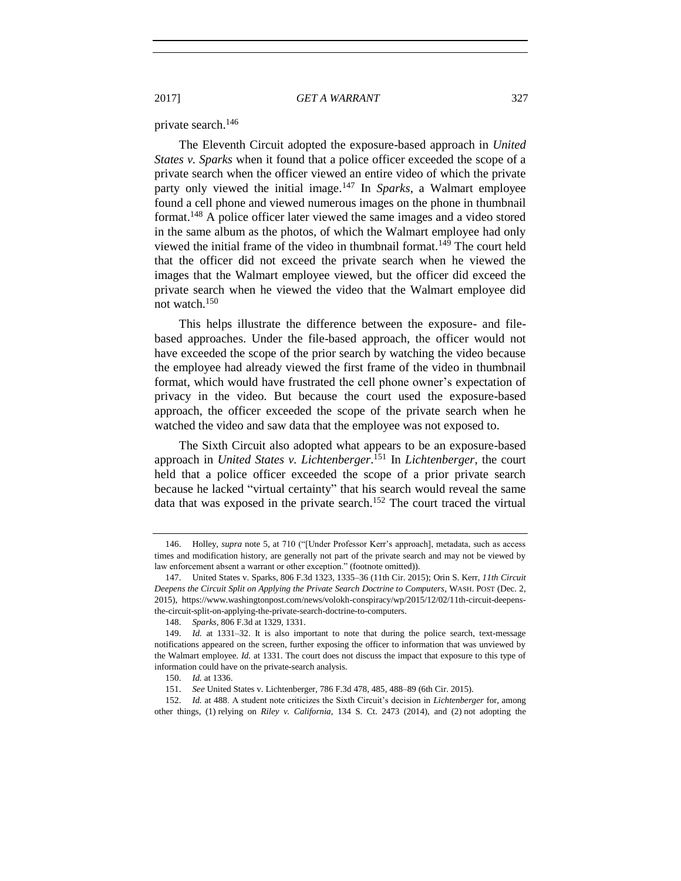private search.<sup>146</sup>

The Eleventh Circuit adopted the exposure-based approach in *United States v. Sparks* when it found that a police officer exceeded the scope of a private search when the officer viewed an entire video of which the private party only viewed the initial image.<sup>147</sup> In *Sparks*, a Walmart employee found a cell phone and viewed numerous images on the phone in thumbnail format. <sup>148</sup> A police officer later viewed the same images and a video stored in the same album as the photos, of which the Walmart employee had only viewed the initial frame of the video in thumbnail format.<sup>149</sup> The court held that the officer did not exceed the private search when he viewed the images that the Walmart employee viewed, but the officer did exceed the private search when he viewed the video that the Walmart employee did not watch.<sup>150</sup>

This helps illustrate the difference between the exposure- and filebased approaches. Under the file-based approach, the officer would not have exceeded the scope of the prior search by watching the video because the employee had already viewed the first frame of the video in thumbnail format, which would have frustrated the cell phone owner's expectation of privacy in the video. But because the court used the exposure-based approach, the officer exceeded the scope of the private search when he watched the video and saw data that the employee was not exposed to.

The Sixth Circuit also adopted what appears to be an exposure-based approach in *United States v. Lichtenberger*. <sup>151</sup> In *Lichtenberger*, the court held that a police officer exceeded the scope of a prior private search because he lacked "virtual certainty" that his search would reveal the same data that was exposed in the private search.<sup>152</sup> The court traced the virtual

<sup>146.</sup> Holley, *supra* note [5,](#page-1-1) at 710 ("[Under Professor Kerr's approach], metadata, such as access times and modification history, are generally not part of the private search and may not be viewed by law enforcement absent a warrant or other exception." (footnote omitted)).

<sup>147.</sup> United States v. Sparks, 806 F.3d 1323, 1335–36 (11th Cir. 2015); Orin S. Kerr, *11th Circuit Deepens the Circuit Split on Applying the Private Search Doctrine to Computers*, WASH. POST (Dec. 2, 2015), https://www.washingtonpost.com/news/volokh-conspiracy/wp/2015/12/02/11th-circuit-deepensthe-circuit-split-on-applying-the-private-search-doctrine-to-computers.

<sup>148.</sup> *Sparks*, 806 F.3d at 1329, 1331.

<sup>149.</sup> *Id.* at 1331–32. It is also important to note that during the police search, text-message notifications appeared on the screen, further exposing the officer to information that was unviewed by the Walmart employee. *Id.* at 1331. The court does not discuss the impact that exposure to this type of information could have on the private-search analysis.

<sup>150.</sup> *Id.* at 1336.

<sup>151.</sup> *See* United States v. Lichtenberger, 786 F.3d 478, 485, 488–89 (6th Cir. 2015).

<sup>152.</sup> *Id.* at 488. A student note criticizes the Sixth Circuit's decision in *Lichtenberger* for, among other things, (1) relying on *Riley v. California*, 134 S. Ct. 2473 (2014), and (2) not adopting the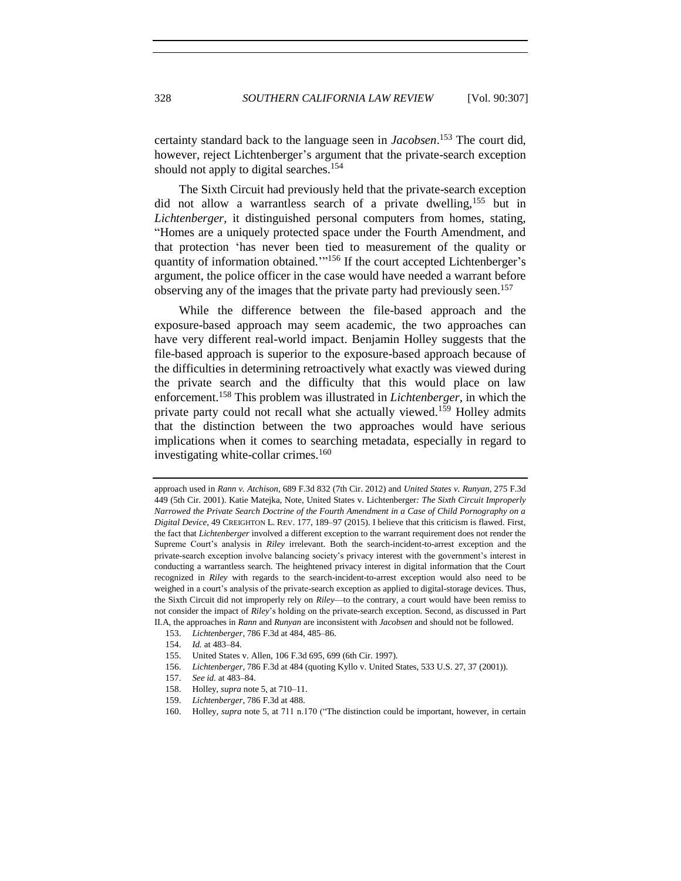certainty standard back to the language seen in *Jacobsen*. <sup>153</sup> The court did, however, reject Lichtenberger's argument that the private-search exception should not apply to digital searches.<sup>154</sup>

The Sixth Circuit had previously held that the private-search exception did not allow a warrantless search of a private dwelling,<sup>155</sup> but in *Lichtenberger*, it distinguished personal computers from homes, stating, "Homes are a uniquely protected space under the Fourth Amendment, and that protection 'has never been tied to measurement of the quality or quantity of information obtained."<sup>156</sup> If the court accepted Lichtenberger's argument, the police officer in the case would have needed a warrant before observing any of the images that the private party had previously seen.<sup>157</sup>

While the difference between the file-based approach and the exposure-based approach may seem academic, the two approaches can have very different real-world impact. Benjamin Holley suggests that the file-based approach is superior to the exposure-based approach because of the difficulties in determining retroactively what exactly was viewed during the private search and the difficulty that this would place on law enforcement.<sup>158</sup> This problem was illustrated in *Lichtenberger*, in which the private party could not recall what she actually viewed.<sup>159</sup> Holley admits that the distinction between the two approaches would have serious implications when it comes to searching metadata, especially in regard to investigating white-collar crimes. $160$ 

- 153. *Lichtenberger*, 786 F.3d at 484, 485–86.
- 154. *Id.* at 483–84.

- 156. *Lichtenberger*, 786 F.3d at 484 (quoting Kyllo v. United States, 533 U.S. 27, 37 (2001)).
- 157. *See id.* at 483–84.
- 158. Holley, *supra* note [5,](#page-1-1) at 710–11.
- 159. *Lichtenberger*, 786 F.3d at 488.
- 160. Holley, *supra* note [5,](#page-1-1) at 711 n.170 ("The distinction could be important, however, in certain

approach used in *Rann v. Atchison*, 689 F.3d 832 (7th Cir. 2012) and *United States v. Runyan*, 275 F.3d 449 (5th Cir. 2001). Katie Matejka, Note, United States v. Lichtenberger*: The Sixth Circuit Improperly Narrowed the Private Search Doctrine of the Fourth Amendment in a Case of Child Pornography on a Digital Device*, 49 CREIGHTON L. REV. 177, 189–97 (2015). I believe that this criticism is flawed. First, the fact that *Lichtenberger* involved a different exception to the warrant requirement does not render the Supreme Court's analysis in *Riley* irrelevant. Both the search-incident-to-arrest exception and the private-search exception involve balancing society's privacy interest with the government's interest in conducting a warrantless search. The heightened privacy interest in digital information that the Court recognized in *Riley* with regards to the search-incident-to-arrest exception would also need to be weighed in a court's analysis of the private-search exception as applied to digital-storage devices. Thus, the Sixth Circuit did not improperly rely on *Riley*—to the contrary, a court would have been remiss to not consider the impact of *Riley*'s holding on the private-search exception. Second, as discussed in Part II.A, the approaches in *Rann* and *Runyan* are inconsistent with *Jacobsen* and should not be followed.

<sup>155.</sup> United States v. Allen, 106 F.3d 695, 699 (6th Cir. 1997).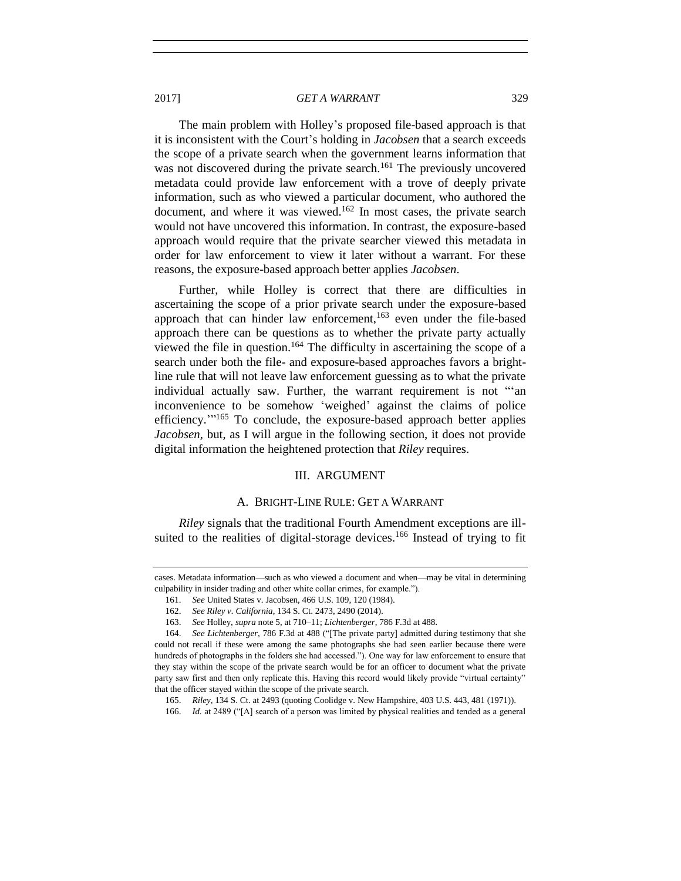The main problem with Holley's proposed file-based approach is that it is inconsistent with the Court's holding in *Jacobsen* that a search exceeds the scope of a private search when the government learns information that was not discovered during the private search.<sup>161</sup> The previously uncovered metadata could provide law enforcement with a trove of deeply private information, such as who viewed a particular document, who authored the document, and where it was viewed.<sup>162</sup> In most cases, the private search would not have uncovered this information. In contrast, the exposure-based approach would require that the private searcher viewed this metadata in order for law enforcement to view it later without a warrant. For these reasons, the exposure-based approach better applies *Jacobsen*.

Further, while Holley is correct that there are difficulties in ascertaining the scope of a prior private search under the exposure-based approach that can hinder law enforcement, $163$  even under the file-based approach there can be questions as to whether the private party actually viewed the file in question.<sup>164</sup> The difficulty in ascertaining the scope of a search under both the file- and exposure-based approaches favors a brightline rule that will not leave law enforcement guessing as to what the private individual actually saw. Further, the warrant requirement is not "'an inconvenience to be somehow 'weighed' against the claims of police efficiency."<sup>165</sup> To conclude, the exposure-based approach better applies *Jacobsen*, but, as I will argue in the following section, it does not provide digital information the heightened protection that *Riley* requires.

## III. ARGUMENT

## A. BRIGHT-LINE RULE: GET A WARRANT

*Riley* signals that the traditional Fourth Amendment exceptions are illsuited to the realities of digital-storage devices.<sup>166</sup> Instead of trying to fit

cases. Metadata information—such as who viewed a document and when—may be vital in determining culpability in insider trading and other white collar crimes, for example.").

<sup>161.</sup> *See* United States v. Jacobsen, 466 U.S. 109, 120 (1984).

<sup>162.</sup> *See Riley v. California*, 134 S. Ct. 2473, 2490 (2014).

<sup>163.</sup> *See* Holley, *supra* not[e 5,](#page-1-1) at 710–11; *Lichtenberger*, 786 F.3d at 488.

<sup>164.</sup> *See Lichtenberger*, 786 F.3d at 488 ("[The private party] admitted during testimony that she could not recall if these were among the same photographs she had seen earlier because there were hundreds of photographs in the folders she had accessed."). One way for law enforcement to ensure that they stay within the scope of the private search would be for an officer to document what the private party saw first and then only replicate this. Having this record would likely provide "virtual certainty" that the officer stayed within the scope of the private search.

<sup>165.</sup> *Riley*, 134 S. Ct. at 2493 (quoting Coolidge v. New Hampshire, 403 U.S. 443, 481 (1971)).

<sup>166.</sup> *Id.* at 2489 ("[A] search of a person was limited by physical realities and tended as a general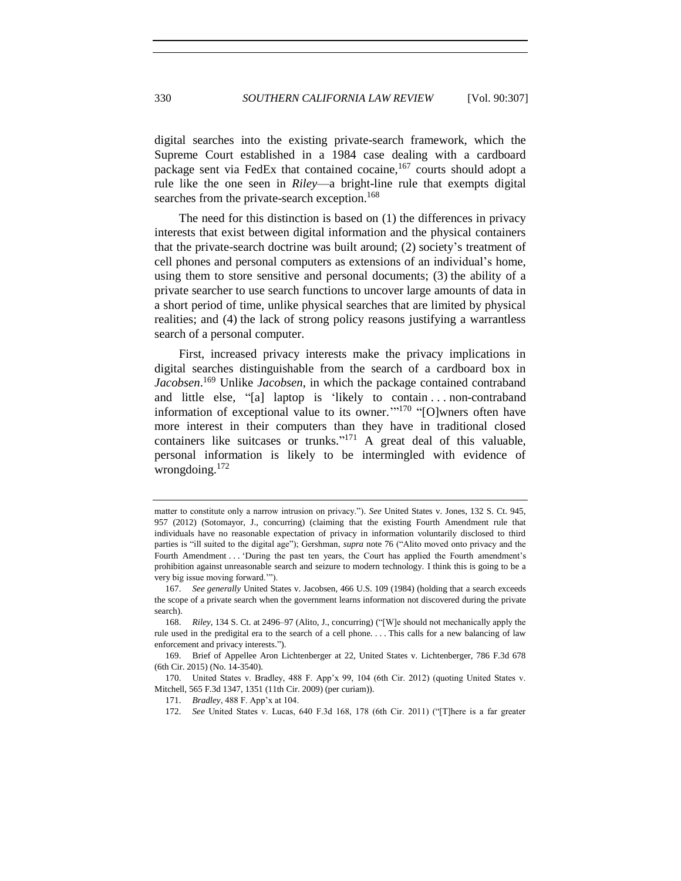digital searches into the existing private-search framework, which the Supreme Court established in a 1984 case dealing with a cardboard package sent via FedEx that contained cocaine,<sup>167</sup> courts should adopt a rule like the one seen in *Riley*—a bright-line rule that exempts digital searches from the private-search exception.<sup>168</sup>

The need for this distinction is based on (1) the differences in privacy interests that exist between digital information and the physical containers that the private-search doctrine was built around; (2) society's treatment of cell phones and personal computers as extensions of an individual's home, using them to store sensitive and personal documents; (3) the ability of a private searcher to use search functions to uncover large amounts of data in a short period of time, unlike physical searches that are limited by physical realities; and (4) the lack of strong policy reasons justifying a warrantless search of a personal computer.

<span id="page-23-0"></span>First, increased privacy interests make the privacy implications in digital searches distinguishable from the search of a cardboard box in *Jacobsen*. <sup>169</sup> Unlike *Jacobsen*, in which the package contained contraband and little else, "[a] laptop is 'likely to contain . . . non-contraband information of exceptional value to its owner."<sup>170</sup> "[O]wners often have more interest in their computers than they have in traditional closed containers like suitcases or trunks."<sup>171</sup> A great deal of this valuable, personal information is likely to be intermingled with evidence of wrongdoing.<sup>172</sup>

matter to constitute only a narrow intrusion on privacy."). *See* United States v. Jones, 132 S. Ct. 945, 957 (2012) (Sotomayor, J., concurring) (claiming that the existing Fourth Amendment rule that individuals have no reasonable expectation of privacy in information voluntarily disclosed to third parties is "ill suited to the digital age"); Gershman, *supra* note [76](#page-11-0) ("Alito moved onto privacy and the Fourth Amendment . . . 'During the past ten years, the Court has applied the Fourth amendment's prohibition against unreasonable search and seizure to modern technology. I think this is going to be a very big issue moving forward.'").

<sup>167.</sup> *See generally* United States v. Jacobsen, 466 U.S. 109 (1984) (holding that a search exceeds the scope of a private search when the government learns information not discovered during the private search).

<sup>168.</sup> *Riley*, 134 S. Ct. at 2496–97 (Alito, J., concurring) ("[W]e should not mechanically apply the rule used in the predigital era to the search of a cell phone. . . . This calls for a new balancing of law enforcement and privacy interests.").

<sup>169.</sup> Brief of Appellee Aron Lichtenberger at 22, United States v. Lichtenberger, 786 F.3d 678 (6th Cir. 2015) (No. 14-3540).

<sup>170.</sup> United States v. Bradley, 488 F. App'x 99, 104 (6th Cir. 2012) (quoting United States v. Mitchell, 565 F.3d 1347, 1351 (11th Cir. 2009) (per curiam)).

<sup>171.</sup> *Bradley*, 488 F. App'x at 104.

<sup>172.</sup> *See* United States v. Lucas, 640 F.3d 168, 178 (6th Cir. 2011) ("[T]here is a far greater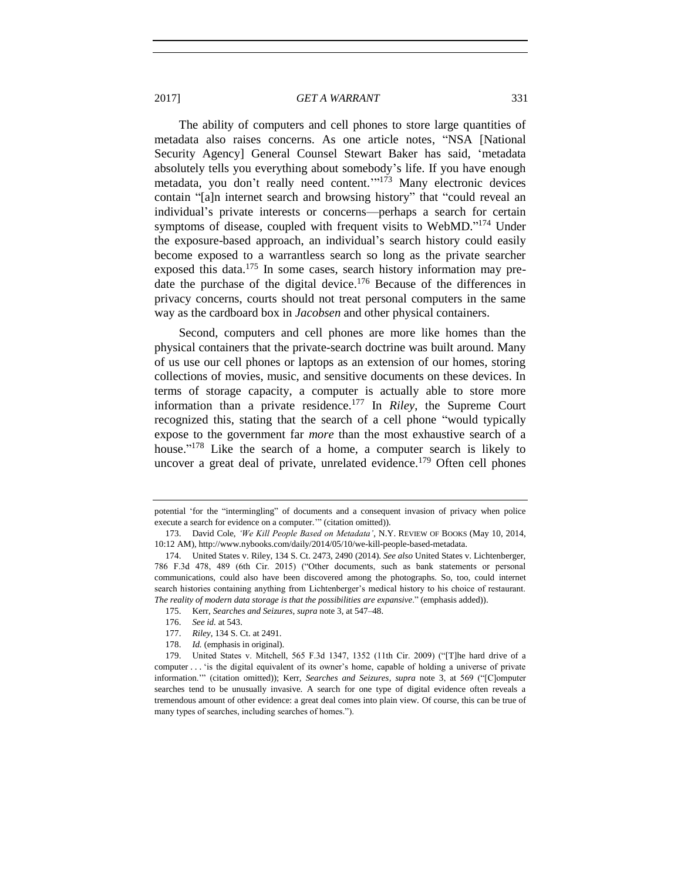The ability of computers and cell phones to store large quantities of metadata also raises concerns. As one article notes, "NSA [National Security Agency] General Counsel Stewart Baker has said, 'metadata absolutely tells you everything about somebody's life. If you have enough metadata, you don't really need content."<sup>173</sup> Many electronic devices contain "[a]n internet search and browsing history" that "could reveal an individual's private interests or concerns—perhaps a search for certain symptoms of disease, coupled with frequent visits to WebMD."<sup>174</sup> Under the exposure-based approach, an individual's search history could easily become exposed to a warrantless search so long as the private searcher exposed this data. $175$  In some cases, search history information may predate the purchase of the digital device.<sup>176</sup> Because of the differences in privacy concerns, courts should not treat personal computers in the same way as the cardboard box in *Jacobsen* and other physical containers.

Second, computers and cell phones are more like homes than the physical containers that the private-search doctrine was built around. Many of us use our cell phones or laptops as an extension of our homes, storing collections of movies, music, and sensitive documents on these devices. In terms of storage capacity, a computer is actually able to store more information than a private residence.<sup>177</sup> In *Riley*, the Supreme Court recognized this, stating that the search of a cell phone "would typically expose to the government far *more* than the most exhaustive search of a house." <sup>178</sup> Like the search of a home, a computer search is likely to uncover a great deal of private, unrelated evidence.<sup>179</sup> Often cell phones

potential 'for the "intermingling" of documents and a consequent invasion of privacy when police execute a search for evidence on a computer.'" (citation omitted)).

<sup>173.</sup> David Cole, *'We Kill People Based on Metadata'*, N.Y. REVIEW OF BOOKS (May 10, 2014, 10:12 AM), http://www.nybooks.com/daily/2014/05/10/we-kill-people-based-metadata.

<sup>174.</sup> United States v. Riley, 134 S. Ct. 2473, 2490 (2014). *See also* United States v. Lichtenberger, 786 F.3d 478, 489 (6th Cir. 2015) ("Other documents, such as bank statements or personal communications, could also have been discovered among the photographs. So, too, could internet search histories containing anything from Lichtenberger's medical history to his choice of restaurant. *The reality of modern data storage is that the possibilities are expansive*." (emphasis added)).

<sup>175.</sup> Kerr, *Searches and Seizures*, *supra* not[e 3,](#page-1-0) at 547–48.

<sup>176.</sup> *See id.* at 543.

<sup>177.</sup> *Riley*, 134 S. Ct. at 2491.

<sup>178.</sup> *Id.* (emphasis in original).

<sup>179.</sup> United States v. Mitchell, 565 F.3d 1347, 1352 (11th Cir. 2009) ("[T]he hard drive of a computer . . . 'is the digital equivalent of its owner's home, capable of holding a universe of private information.'" (citation omitted)); Kerr, *Searches and Seizures*, *supra* note [3,](#page-1-0) at 569 ("[C]omputer searches tend to be unusually invasive. A search for one type of digital evidence often reveals a tremendous amount of other evidence: a great deal comes into plain view. Of course, this can be true of many types of searches, including searches of homes.").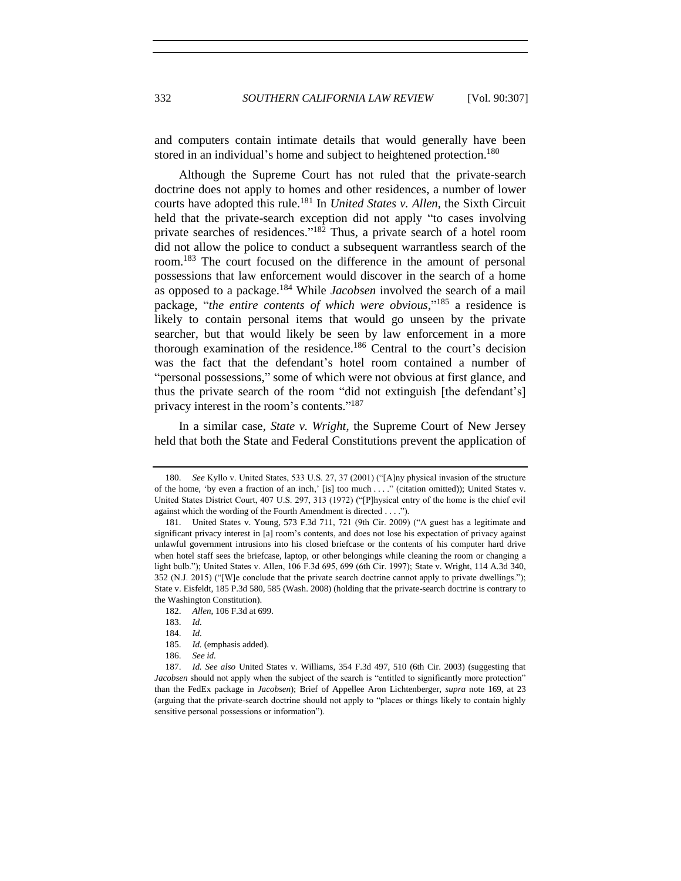and computers contain intimate details that would generally have been stored in an individual's home and subject to heightened protection.<sup>180</sup>

Although the Supreme Court has not ruled that the private-search doctrine does not apply to homes and other residences, a number of lower courts have adopted this rule.<sup>181</sup> In *United States v. Allen*, the Sixth Circuit held that the private-search exception did not apply "to cases involving private searches of residences."<sup>182</sup> Thus, a private search of a hotel room did not allow the police to conduct a subsequent warrantless search of the room.<sup>183</sup> The court focused on the difference in the amount of personal possessions that law enforcement would discover in the search of a home as opposed to a package.<sup>184</sup> While *Jacobsen* involved the search of a mail package, "*the entire contents of which were obvious*," <sup>185</sup> a residence is likely to contain personal items that would go unseen by the private searcher, but that would likely be seen by law enforcement in a more thorough examination of the residence.<sup>186</sup> Central to the court's decision was the fact that the defendant's hotel room contained a number of "personal possessions," some of which were not obvious at first glance, and thus the private search of the room "did not extinguish [the defendant's] privacy interest in the room's contents."<sup>187</sup>

In a similar case, *State v. Wright*, the Supreme Court of New Jersey held that both the State and Federal Constitutions prevent the application of

<sup>180.</sup> *See* Kyllo v. United States, 533 U.S. 27, 37 (2001) ("[A]ny physical invasion of the structure of the home, 'by even a fraction of an inch,' [is] too much . . . ." (citation omitted)); United States v. United States District Court, 407 U.S. 297, 313 (1972) ("[P]hysical entry of the home is the chief evil against which the wording of the Fourth Amendment is directed . . . .").

<sup>181.</sup> United States v. Young, 573 F.3d 711, 721 (9th Cir. 2009) ("A guest has a legitimate and significant privacy interest in [a] room's contents, and does not lose his expectation of privacy against unlawful government intrusions into his closed briefcase or the contents of his computer hard drive when hotel staff sees the briefcase, laptop, or other belongings while cleaning the room or changing a light bulb."); United States v. Allen, 106 F.3d 695, 699 (6th Cir. 1997); State v. Wright, 114 A.3d 340, 352 (N.J. 2015) ("[W]e conclude that the private search doctrine cannot apply to private dwellings."); State v. Eisfeldt, 185 P.3d 580, 585 (Wash. 2008) (holding that the private-search doctrine is contrary to the Washington Constitution).

<sup>182.</sup> *Allen*, 106 F.3d at 699.

<sup>183.</sup> *Id.*

<sup>184.</sup> *Id.*

<sup>185.</sup> *Id.* (emphasis added).

<sup>186.</sup> *See id.*

<sup>187.</sup> *Id. See also* United States v. Williams, 354 F.3d 497, 510 (6th Cir. 2003) (suggesting that *Jacobsen* should not apply when the subject of the search is "entitled to significantly more protection" than the FedEx package in *Jacobsen*); Brief of Appellee Aron Lichtenberger, *supra* note [169,](#page-23-0) at 23 (arguing that the private-search doctrine should not apply to "places or things likely to contain highly sensitive personal possessions or information").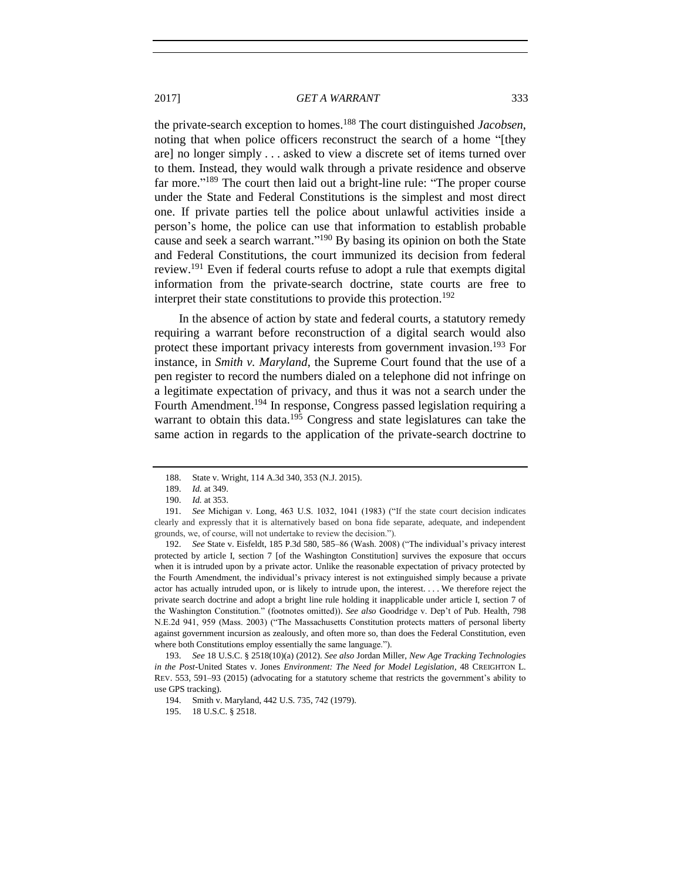the private-search exception to homes.<sup>188</sup> The court distinguished *Jacobsen*, noting that when police officers reconstruct the search of a home "[they are] no longer simply . . . asked to view a discrete set of items turned over to them. Instead, they would walk through a private residence and observe far more."<sup>189</sup> The court then laid out a bright-line rule: "The proper course under the State and Federal Constitutions is the simplest and most direct one. If private parties tell the police about unlawful activities inside a person's home, the police can use that information to establish probable cause and seek a search warrant."<sup>190</sup> By basing its opinion on both the State and Federal Constitutions, the court immunized its decision from federal review.<sup>191</sup> Even if federal courts refuse to adopt a rule that exempts digital information from the private-search doctrine, state courts are free to interpret their state constitutions to provide this protection.<sup>192</sup>

In the absence of action by state and federal courts, a statutory remedy requiring a warrant before reconstruction of a digital search would also protect these important privacy interests from government invasion.<sup>193</sup> For instance, in *Smith v. Maryland*, the Supreme Court found that the use of a pen register to record the numbers dialed on a telephone did not infringe on a legitimate expectation of privacy, and thus it was not a search under the Fourth Amendment.<sup>194</sup> In response, Congress passed legislation requiring a warrant to obtain this data.<sup>195</sup> Congress and state legislatures can take the same action in regards to the application of the private-search doctrine to

192. *See* State v. Eisfeldt, 185 P.3d 580, 585–86 (Wash. 2008) ("The individual's privacy interest protected by article I, section 7 [of the Washington Constitution] survives the exposure that occurs when it is intruded upon by a private actor. Unlike the reasonable expectation of privacy protected by the Fourth Amendment, the individual's privacy interest is not extinguished simply because a private actor has actually intruded upon, or is likely to intrude upon, the interest. . . . We therefore reject the private search doctrine and adopt a bright line rule holding it inapplicable under article I, section 7 of the Washington Constitution." (footnotes omitted)). *See also* Goodridge v. Dep't of Pub. Health, 798 N.E.2d 941, 959 (Mass. 2003) ("The Massachusetts Constitution protects matters of personal liberty against government incursion as zealously, and often more so, than does the Federal Constitution, even where both Constitutions employ essentially the same language.").

<sup>188.</sup> State v. Wright, 114 A.3d 340, 353 (N.J. 2015).

<sup>189.</sup> *Id.* at 349.

<sup>190.</sup> *Id.* at 353.

<sup>191.</sup> *See* Michigan v. Long, 463 U.S. 1032, 1041 (1983) ("If the state court decision indicates clearly and expressly that it is alternatively based on bona fide separate, adequate, and independent grounds, we, of course, will not undertake to review the decision.").

<sup>193.</sup> *See* 18 U.S.C. § 2518(10)(a) (2012). *See also* Jordan Miller, *New Age Tracking Technologies in the Post-*United States v. Jones *Environment: The Need for Model Legislation*, 48 CREIGHTON L. REV. 553, 591–93 (2015) (advocating for a statutory scheme that restricts the government's ability to use GPS tracking).

<sup>194.</sup> Smith v. Maryland, 442 U.S. 735, 742 (1979).

<sup>195.</sup> 18 U.S.C. § 2518.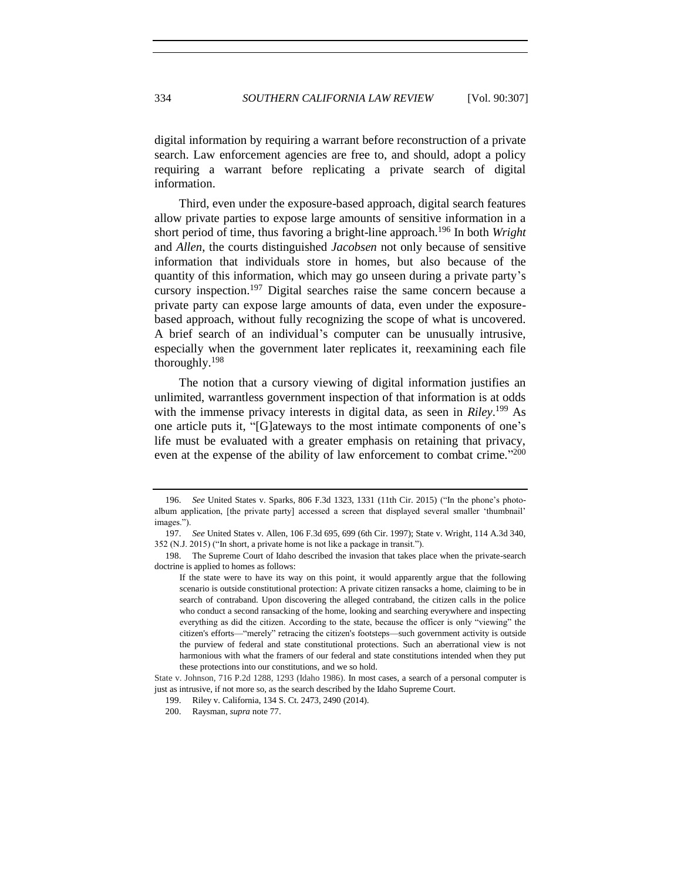digital information by requiring a warrant before reconstruction of a private search. Law enforcement agencies are free to, and should, adopt a policy requiring a warrant before replicating a private search of digital information.

Third, even under the exposure-based approach, digital search features allow private parties to expose large amounts of sensitive information in a short period of time, thus favoring a bright-line approach.<sup>196</sup> In both *Wright*  and *Allen*, the courts distinguished *Jacobsen* not only because of sensitive information that individuals store in homes, but also because of the quantity of this information, which may go unseen during a private party's cursory inspection.<sup>197</sup> Digital searches raise the same concern because a private party can expose large amounts of data, even under the exposurebased approach, without fully recognizing the scope of what is uncovered. A brief search of an individual's computer can be unusually intrusive, especially when the government later replicates it, reexamining each file thoroughly.<sup>198</sup>

The notion that a cursory viewing of digital information justifies an unlimited, warrantless government inspection of that information is at odds with the immense privacy interests in digital data, as seen in *Riley*. <sup>199</sup> As one article puts it, "[G]ateways to the most intimate components of one's life must be evaluated with a greater emphasis on retaining that privacy, even at the expense of the ability of law enforcement to combat crime."<sup>200</sup>

<sup>196.</sup> *See* United States v. Sparks, 806 F.3d 1323, 1331 (11th Cir. 2015) ("In the phone's photoalbum application, [the private party] accessed a screen that displayed several smaller 'thumbnail' images.").

<sup>197.</sup> *See* United States v. Allen, 106 F.3d 695, 699 (6th Cir. 1997); State v. Wright, 114 A.3d 340, 352 (N.J. 2015) ("In short, a private home is not like a package in transit.").

<sup>198.</sup> The Supreme Court of Idaho described the invasion that takes place when the private-search doctrine is applied to homes as follows:

If the state were to have its way on this point, it would apparently argue that the following scenario is outside constitutional protection: A private citizen ransacks a home, claiming to be in search of contraband. Upon discovering the alleged contraband, the citizen calls in the police who conduct a second ransacking of the home, looking and searching everywhere and inspecting everything as did the citizen. According to the state, because the officer is only "viewing" the citizen's efforts—"merely" retracing the citizen's footsteps—such government activity is outside the purview of federal and state constitutional protections. Such an aberrational view is not harmonious with what the framers of our federal and state constitutions intended when they put these protections into our constitutions, and we so hold.

State v. Johnson, 716 P.2d 1288, 1293 (Idaho 1986). In most cases, a search of a personal computer is just as intrusive, if not more so, as the search described by the Idaho Supreme Court.

<sup>199.</sup> Riley v. California, 134 S. Ct. 2473, 2490 (2014).

<sup>200.</sup> Raysman, *supra* note [77.](#page-11-1)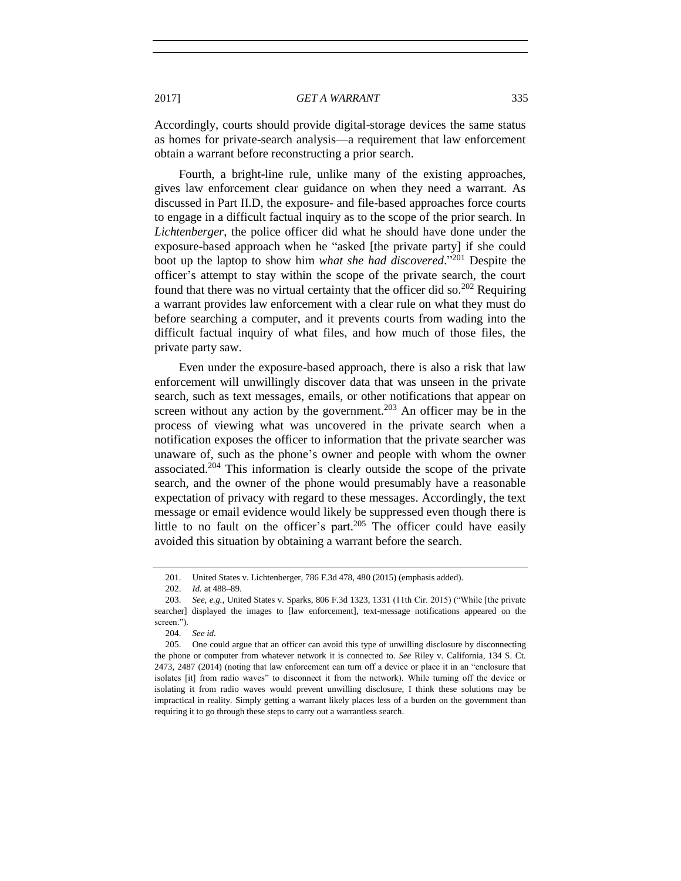Accordingly, courts should provide digital-storage devices the same status as homes for private-search analysis—a requirement that law enforcement obtain a warrant before reconstructing a prior search.

Fourth, a bright-line rule, unlike many of the existing approaches, gives law enforcement clear guidance on when they need a warrant. As discussed in Part II.D, the exposure- and file-based approaches force courts to engage in a difficult factual inquiry as to the scope of the prior search. In *Lichtenberger*, the police officer did what he should have done under the exposure-based approach when he "asked [the private party] if she could boot up the laptop to show him *what she had discovered*." <sup>201</sup> Despite the officer's attempt to stay within the scope of the private search, the court found that there was no virtual certainty that the officer did so.<sup>202</sup> Requiring a warrant provides law enforcement with a clear rule on what they must do before searching a computer, and it prevents courts from wading into the difficult factual inquiry of what files, and how much of those files, the private party saw.

Even under the exposure-based approach, there is also a risk that law enforcement will unwillingly discover data that was unseen in the private search, such as text messages, emails, or other notifications that appear on screen without any action by the government.<sup>203</sup> An officer may be in the process of viewing what was uncovered in the private search when a notification exposes the officer to information that the private searcher was unaware of, such as the phone's owner and people with whom the owner associated.<sup>204</sup> This information is clearly outside the scope of the private search, and the owner of the phone would presumably have a reasonable expectation of privacy with regard to these messages. Accordingly, the text message or email evidence would likely be suppressed even though there is little to no fault on the officer's part.<sup>205</sup> The officer could have easily avoided this situation by obtaining a warrant before the search.

<sup>201.</sup> United States v. Lichtenberger, 786 F.3d 478, 480 (2015) (emphasis added).

<sup>202.</sup> *Id.* at 488–89.

<sup>203.</sup> *See, e.g.*, United States v. Sparks, 806 F.3d 1323, 1331 (11th Cir. 2015) ("While [the private searcher] displayed the images to [law enforcement], text-message notifications appeared on the screen.").

<sup>204.</sup> *See id.*

<sup>205.</sup> One could argue that an officer can avoid this type of unwilling disclosure by disconnecting the phone or computer from whatever network it is connected to. *See* Riley v. California, 134 S. Ct. 2473, 2487 (2014) (noting that law enforcement can turn off a device or place it in an "enclosure that isolates [it] from radio waves" to disconnect it from the network). While turning off the device or isolating it from radio waves would prevent unwilling disclosure, I think these solutions may be impractical in reality. Simply getting a warrant likely places less of a burden on the government than requiring it to go through these steps to carry out a warrantless search.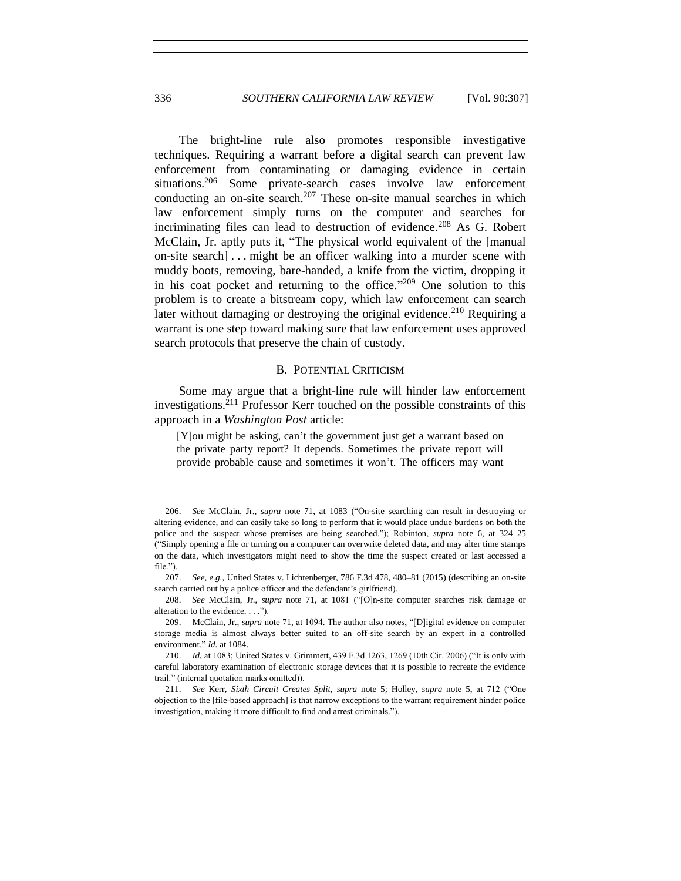The bright-line rule also promotes responsible investigative techniques. Requiring a warrant before a digital search can prevent law enforcement from contaminating or damaging evidence in certain situations.<sup>206</sup> Some private-search cases involve law enforcement conducting an on-site search.<sup>207</sup> These on-site manual searches in which law enforcement simply turns on the computer and searches for incriminating files can lead to destruction of evidence.<sup>208</sup> As G. Robert McClain, Jr. aptly puts it, "The physical world equivalent of the [manual on-site search] . . . might be an officer walking into a murder scene with muddy boots, removing, bare-handed, a knife from the victim, dropping it in his coat pocket and returning to the office." $209$  One solution to this problem is to create a bitstream copy, which law enforcement can search later without damaging or destroving the original evidence.<sup>210</sup> Requiring a warrant is one step toward making sure that law enforcement uses approved search protocols that preserve the chain of custody.

## B. POTENTIAL CRITICISM

Some may argue that a bright-line rule will hinder law enforcement investigations.<sup>211</sup> Professor Kerr touched on the possible constraints of this approach in a *Washington Post* article:

[Y]ou might be asking, can't the government just get a warrant based on the private party report? It depends. Sometimes the private report will provide probable cause and sometimes it won't. The officers may want

208. *See* McClain, Jr., *supra* note [71,](#page-10-0) at 1081 ("[O]n-site computer searches risk damage or alteration to the evidence. . . .").

<sup>206.</sup> *See* McClain, Jr., *supra* note [71,](#page-10-0) at 1083 ("On-site searching can result in destroying or altering evidence, and can easily take so long to perform that it would place undue burdens on both the police and the suspect whose premises are being searched."); Robinton, *supra* note [6,](#page-2-0) at 324–25 ("Simply opening a file or turning on a computer can overwrite deleted data, and may alter time stamps on the data, which investigators might need to show the time the suspect created or last accessed a file.").

<sup>207.</sup> *See, e.g.*, United States v. Lichtenberger, 786 F.3d 478, 480–81 (2015) (describing an on-site search carried out by a police officer and the defendant's girlfriend).

<sup>209.</sup> McClain, Jr., *supra* note [71,](#page-10-0) at 1094. The author also notes, "[D]igital evidence on computer storage media is almost always better suited to an off-site search by an expert in a controlled environment." *Id.* at 1084.

<sup>210.</sup> *Id.* at 1083; United States v. Grimmett, 439 F.3d 1263, 1269 (10th Cir. 2006) ("It is only with careful laboratory examination of electronic storage devices that it is possible to recreate the evidence trail." (internal quotation marks omitted)).

<sup>211.</sup> *See* Kerr, *Sixth Circuit Creates Split*, *supra* note [5;](#page-1-1) Holley, *supra* note [5,](#page-1-1) at 712 ("One objection to the [file-based approach] is that narrow exceptions to the warrant requirement hinder police investigation, making it more difficult to find and arrest criminals.").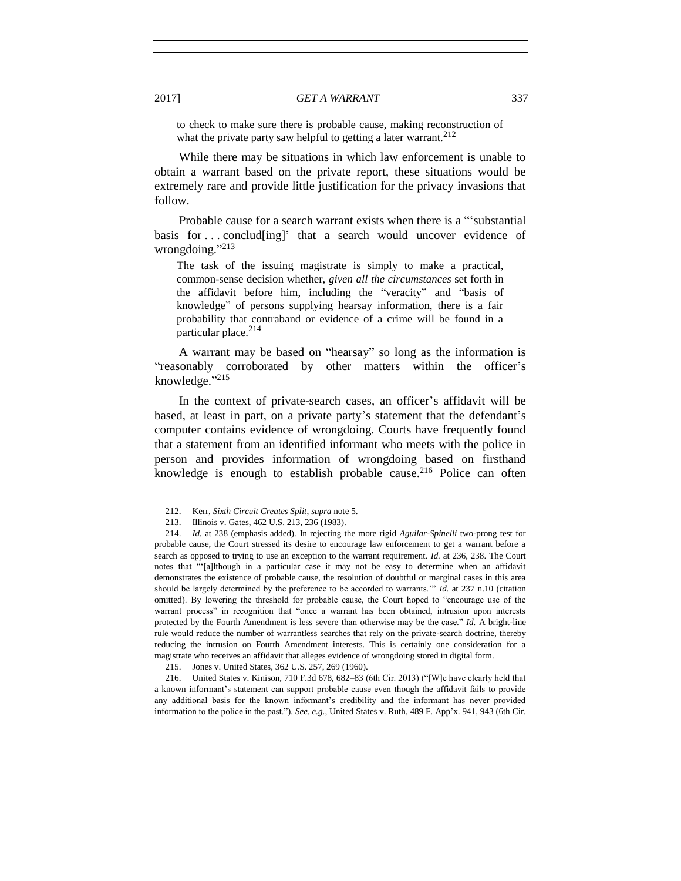to check to make sure there is probable cause, making reconstruction of what the private party saw helpful to getting a later warrant. $212$ 

While there may be situations in which law enforcement is unable to obtain a warrant based on the private report, these situations would be extremely rare and provide little justification for the privacy invasions that follow.

Probable cause for a search warrant exists when there is a "'substantial basis for . . . conclud[ing]' that a search would uncover evidence of wrongdoing."<sup>213</sup>

The task of the issuing magistrate is simply to make a practical, common-sense decision whether, *given all the circumstances* set forth in the affidavit before him, including the "veracity" and "basis of knowledge" of persons supplying hearsay information, there is a fair probability that contraband or evidence of a crime will be found in a particular place. $214$ 

A warrant may be based on "hearsay" so long as the information is "reasonably corroborated by other matters within the officer's knowledge."<sup>215</sup>

In the context of private-search cases, an officer's affidavit will be based, at least in part, on a private party's statement that the defendant's computer contains evidence of wrongdoing. Courts have frequently found that a statement from an identified informant who meets with the police in person and provides information of wrongdoing based on firsthand knowledge is enough to establish probable cause.<sup>216</sup> Police can often

<sup>212.</sup> Kerr, *Sixth Circuit Creates Split*, *supra* note [5.](#page-1-1)

<sup>213.</sup> Illinois v. Gates, 462 U.S. 213, 236 (1983).

<sup>214.</sup> *Id.* at 238 (emphasis added). In rejecting the more rigid *Aguilar*-*Spinelli* two-prong test for probable cause, the Court stressed its desire to encourage law enforcement to get a warrant before a search as opposed to trying to use an exception to the warrant requirement. *Id.* at 236, 238. The Court notes that "'[a]lthough in a particular case it may not be easy to determine when an affidavit demonstrates the existence of probable cause, the resolution of doubtful or marginal cases in this area should be largely determined by the preference to be accorded to warrants.'" *Id.* at 237 n.10 (citation omitted). By lowering the threshold for probable cause, the Court hoped to "encourage use of the warrant process" in recognition that "once a warrant has been obtained, intrusion upon interests protected by the Fourth Amendment is less severe than otherwise may be the case." *Id.* A bright-line rule would reduce the number of warrantless searches that rely on the private-search doctrine, thereby reducing the intrusion on Fourth Amendment interests. This is certainly one consideration for a magistrate who receives an affidavit that alleges evidence of wrongdoing stored in digital form.

<sup>215.</sup> Jones v. United States, 362 U.S. 257, 269 (1960).

<sup>216.</sup> United States v. Kinison, 710 F.3d 678, 682–83 (6th Cir. 2013) ("[W]e have clearly held that a known informant's statement can support probable cause even though the affidavit fails to provide any additional basis for the known informant's credibility and the informant has never provided information to the police in the past."). *See, e.g.*, United States v. Ruth, 489 F. App'x. 941, 943 (6th Cir.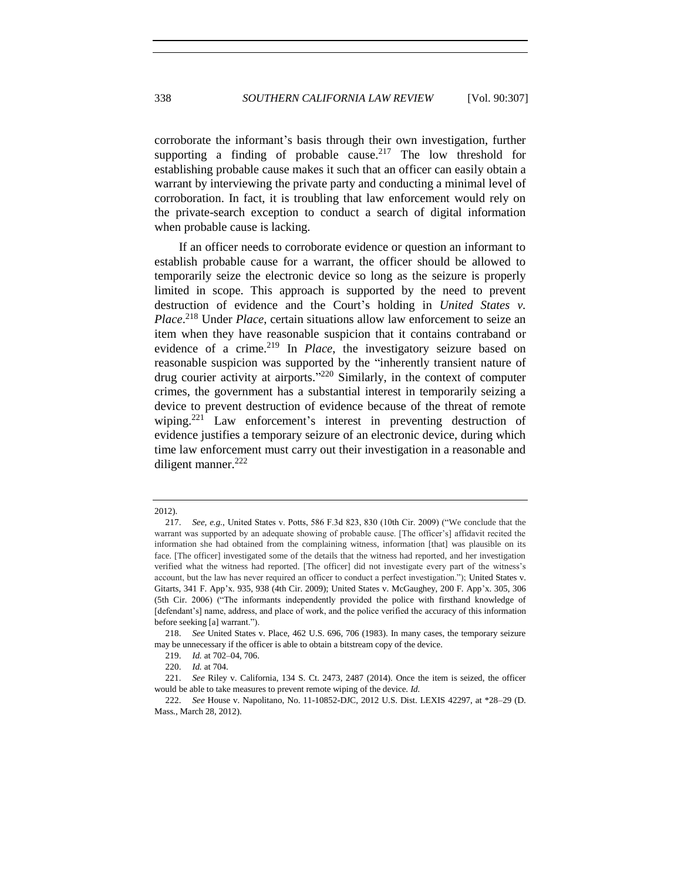corroborate the informant's basis through their own investigation, further supporting a finding of probable cause.<sup>217</sup> The low threshold for establishing probable cause makes it such that an officer can easily obtain a warrant by interviewing the private party and conducting a minimal level of corroboration. In fact, it is troubling that law enforcement would rely on the private-search exception to conduct a search of digital information when probable cause is lacking.

If an officer needs to corroborate evidence or question an informant to establish probable cause for a warrant, the officer should be allowed to temporarily seize the electronic device so long as the seizure is properly limited in scope. This approach is supported by the need to prevent destruction of evidence and the Court's holding in *United States v. Place*. <sup>218</sup> Under *Place*, certain situations allow law enforcement to seize an item when they have reasonable suspicion that it contains contraband or evidence of a crime.<sup>219</sup> In *Place*, the investigatory seizure based on reasonable suspicion was supported by the "inherently transient nature of drug courier activity at airports."<sup>220</sup> Similarly, in the context of computer crimes, the government has a substantial interest in temporarily seizing a device to prevent destruction of evidence because of the threat of remote wiping.<sup>221</sup> Law enforcement's interest in preventing destruction of evidence justifies a temporary seizure of an electronic device, during which time law enforcement must carry out their investigation in a reasonable and diligent manner. $222$ 

<sup>2012).</sup> 

<sup>217.</sup> *See, e.g.*, United States v. Potts, 586 F.3d 823, 830 (10th Cir. 2009) ("We conclude that the warrant was supported by an adequate showing of probable cause. [The officer's] affidavit recited the information she had obtained from the complaining witness, information [that] was plausible on its face. [The officer] investigated some of the details that the witness had reported, and her investigation verified what the witness had reported. [The officer] did not investigate every part of the witness's account, but the law has never required an officer to conduct a perfect investigation."); United States v. Gitarts, 341 F. App'x. 935, 938 (4th Cir. 2009); United States v. McGaughey, 200 F. App'x. 305, 306 (5th Cir. 2006) ("The informants independently provided the police with firsthand knowledge of [defendant's] name, address, and place of work, and the police verified the accuracy of this information before seeking [a] warrant.").

<sup>218.</sup> *See* United States v. Place, 462 U.S. 696, 706 (1983). In many cases, the temporary seizure may be unnecessary if the officer is able to obtain a bitstream copy of the device.

<sup>219.</sup> *Id.* at 702–04, 706.

<sup>220.</sup> *Id.* at 704.

<sup>221.</sup> *See* Riley v. California, 134 S. Ct. 2473, 2487 (2014). Once the item is seized, the officer would be able to take measures to prevent remote wiping of the device. *Id.*

<sup>222.</sup> *See* House v. Napolitano, No. 11-10852-DJC, 2012 U.S. Dist. LEXIS 42297, at \*28–29 (D. Mass., March 28, 2012).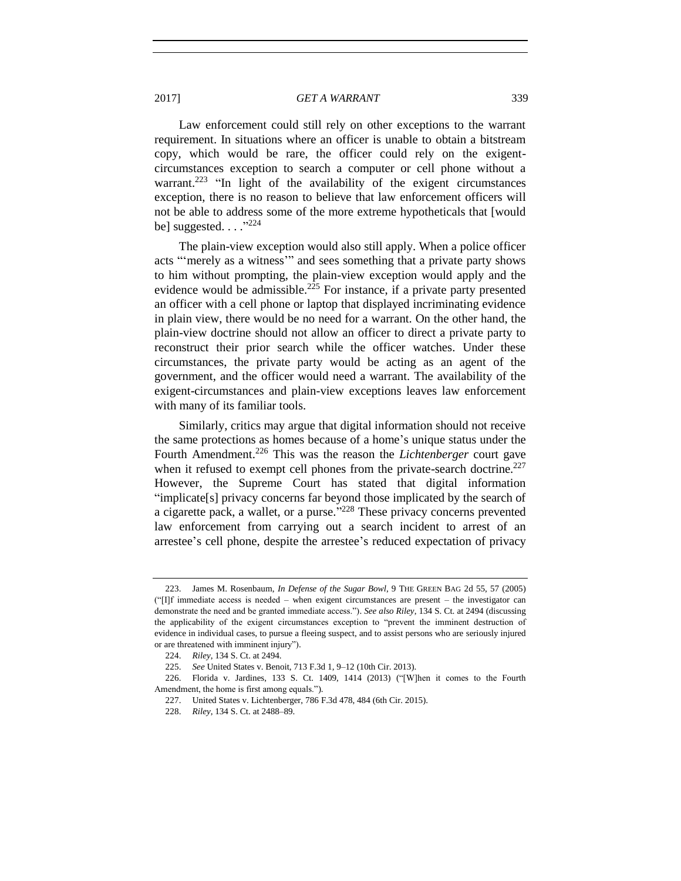Law enforcement could still rely on other exceptions to the warrant requirement. In situations where an officer is unable to obtain a bitstream copy, which would be rare, the officer could rely on the exigentcircumstances exception to search a computer or cell phone without a warrant.<sup>223</sup> "In light of the availability of the exigent circumstances exception, there is no reason to believe that law enforcement officers will not be able to address some of the more extreme hypotheticals that [would be] suggested.  $\ldots$ <sup>"224</sup>

The plain-view exception would also still apply. When a police officer acts "'merely as a witness'" and sees something that a private party shows to him without prompting, the plain-view exception would apply and the evidence would be admissible.<sup>225</sup> For instance, if a private party presented an officer with a cell phone or laptop that displayed incriminating evidence in plain view, there would be no need for a warrant. On the other hand, the plain-view doctrine should not allow an officer to direct a private party to reconstruct their prior search while the officer watches. Under these circumstances, the private party would be acting as an agent of the government, and the officer would need a warrant. The availability of the exigent-circumstances and plain-view exceptions leaves law enforcement with many of its familiar tools.

Similarly, critics may argue that digital information should not receive the same protections as homes because of a home's unique status under the Fourth Amendment.<sup>226</sup> This was the reason the *Lichtenberger* court gave when it refused to exempt cell phones from the private-search doctrine.<sup>227</sup> However, the Supreme Court has stated that digital information "implicate[s] privacy concerns far beyond those implicated by the search of a cigarette pack, a wallet, or a purse."<sup>228</sup> These privacy concerns prevented law enforcement from carrying out a search incident to arrest of an arrestee's cell phone, despite the arrestee's reduced expectation of privacy

<sup>223.</sup> James M. Rosenbaum, *In Defense of the Sugar Bowl*, 9 THE GREEN BAG 2d 55, 57 (2005) ("[I]f immediate access is needed – when exigent circumstances are present – the investigator can demonstrate the need and be granted immediate access."). *See also Riley*, 134 S. Ct. at 2494 (discussing the applicability of the exigent circumstances exception to "prevent the imminent destruction of evidence in individual cases, to pursue a fleeing suspect, and to assist persons who are seriously injured or are threatened with imminent injury").

<sup>224.</sup> *Riley*, 134 S. Ct. at 2494.

<sup>225.</sup> *See* United States v. Benoit, 713 F.3d 1, 9–12 (10th Cir. 2013).

<sup>226.</sup> Florida v. Jardines, 133 S. Ct. 1409, 1414 (2013) ("[W]hen it comes to the Fourth Amendment, the home is first among equals.").

<sup>227.</sup> United States v. Lichtenberger, 786 F.3d 478, 484 (6th Cir. 2015).

<sup>228.</sup> *Riley*, 134 S. Ct. at 2488–89.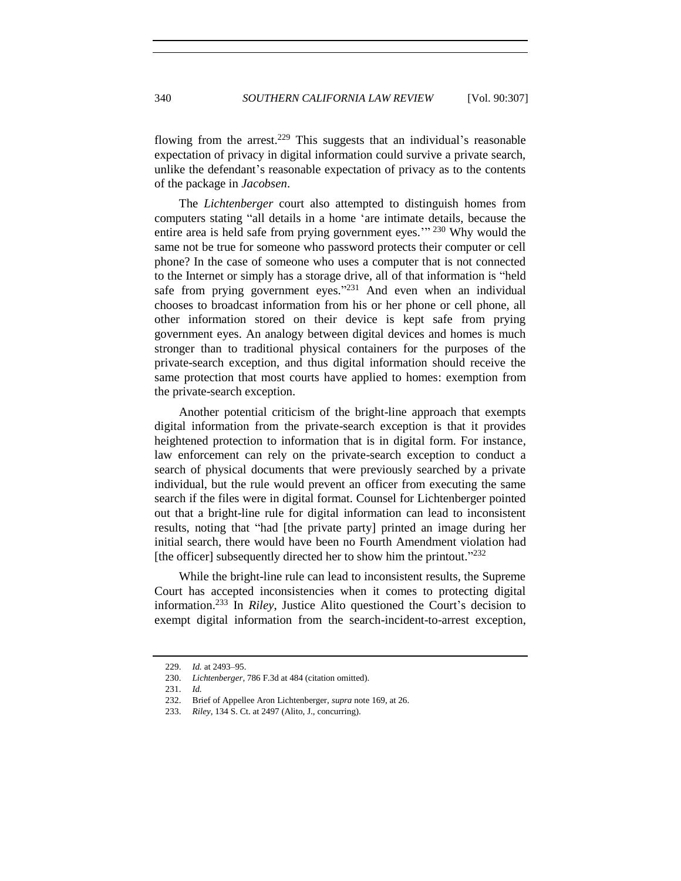flowing from the arrest.<sup>229</sup> This suggests that an individual's reasonable expectation of privacy in digital information could survive a private search, unlike the defendant's reasonable expectation of privacy as to the contents of the package in *Jacobsen*.

The *Lichtenberger* court also attempted to distinguish homes from computers stating "all details in a home 'are intimate details, because the entire area is held safe from prying government eyes."<sup>230</sup> Why would the same not be true for someone who password protects their computer or cell phone? In the case of someone who uses a computer that is not connected to the Internet or simply has a storage drive, all of that information is "held safe from prying government eyes."<sup>231</sup> And even when an individual chooses to broadcast information from his or her phone or cell phone, all other information stored on their device is kept safe from prying government eyes. An analogy between digital devices and homes is much stronger than to traditional physical containers for the purposes of the private-search exception, and thus digital information should receive the same protection that most courts have applied to homes: exemption from the private-search exception.

Another potential criticism of the bright-line approach that exempts digital information from the private-search exception is that it provides heightened protection to information that is in digital form. For instance, law enforcement can rely on the private-search exception to conduct a search of physical documents that were previously searched by a private individual, but the rule would prevent an officer from executing the same search if the files were in digital format. Counsel for Lichtenberger pointed out that a bright-line rule for digital information can lead to inconsistent results, noting that "had [the private party] printed an image during her initial search, there would have been no Fourth Amendment violation had [the officer] subsequently directed her to show him the printout."232

While the bright-line rule can lead to inconsistent results, the Supreme Court has accepted inconsistencies when it comes to protecting digital information.<sup>233</sup> In *Riley*, Justice Alito questioned the Court's decision to exempt digital information from the search-incident-to-arrest exception,

<sup>229.</sup> *Id.* at 2493–95.

<sup>230.</sup> *Lichtenberger*, 786 F.3d at 484 (citation omitted).

<sup>231.</sup> *Id.* 

<sup>232.</sup> Brief of Appellee Aron Lichtenberger, *supra* note [169,](#page-23-0) at 26.

<sup>233.</sup> *Riley*, 134 S. Ct. at 2497 (Alito, J., concurring).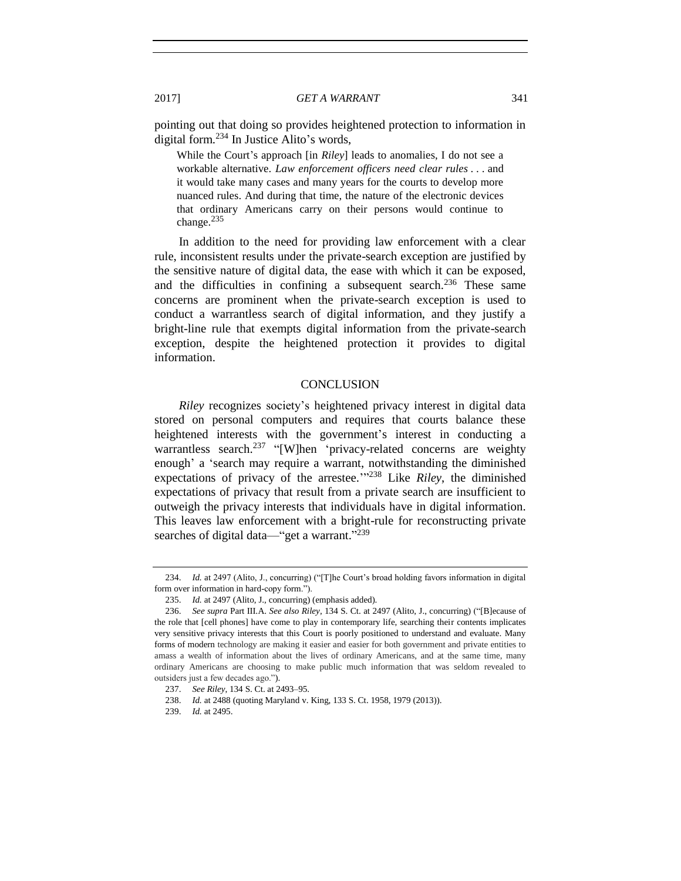pointing out that doing so provides heightened protection to information in digital form.<sup>234</sup> In Justice Alito's words,

While the Court's approach [in *Riley*] leads to anomalies, I do not see a workable alternative. *Law enforcement officers need clear rules . . .* and it would take many cases and many years for the courts to develop more nuanced rules. And during that time, the nature of the electronic devices that ordinary Americans carry on their persons would continue to change.<sup>235</sup>

In addition to the need for providing law enforcement with a clear rule, inconsistent results under the private-search exception are justified by the sensitive nature of digital data, the ease with which it can be exposed, and the difficulties in confining a subsequent search.<sup>236</sup> These same concerns are prominent when the private-search exception is used to conduct a warrantless search of digital information, and they justify a bright-line rule that exempts digital information from the private-search exception, despite the heightened protection it provides to digital information.

## **CONCLUSION**

*Riley* recognizes society's heightened privacy interest in digital data stored on personal computers and requires that courts balance these heightened interests with the government's interest in conducting a warrantless search.<sup>237</sup> "[W]hen 'privacy-related concerns are weighty enough' a 'search may require a warrant, notwithstanding the diminished expectations of privacy of the arrestee.'" <sup>238</sup> Like *Riley*, the diminished expectations of privacy that result from a private search are insufficient to outweigh the privacy interests that individuals have in digital information. This leaves law enforcement with a bright-rule for reconstructing private searches of digital data—"get a warrant."<sup>239</sup>

<sup>234.</sup> *Id.* at 2497 (Alito, J., concurring) ("[T]he Court's broad holding favors information in digital form over information in hard-copy form.").

<sup>235.</sup> *Id.* at 2497 (Alito, J., concurring) (emphasis added).

<sup>236.</sup> *See supra* Part III.A. *See also Riley*, 134 S. Ct. at 2497 (Alito, J., concurring) ("[B]ecause of the role that [cell phones] have come to play in contemporary life, searching their contents implicates very sensitive privacy interests that this Court is poorly positioned to understand and evaluate. Many forms of modern technology are making it easier and easier for both government and private entities to amass a wealth of information about the lives of ordinary Americans, and at the same time, many ordinary Americans are choosing to make public much information that was seldom revealed to outsiders just a few decades ago.").

<sup>237.</sup> *See Riley*, 134 S. Ct. at 2493–95.

<sup>238.</sup> *Id.* at 2488 (quoting Maryland v. King, 133 S. Ct. 1958, 1979 (2013)).

<sup>239.</sup> *Id.* at 2495.